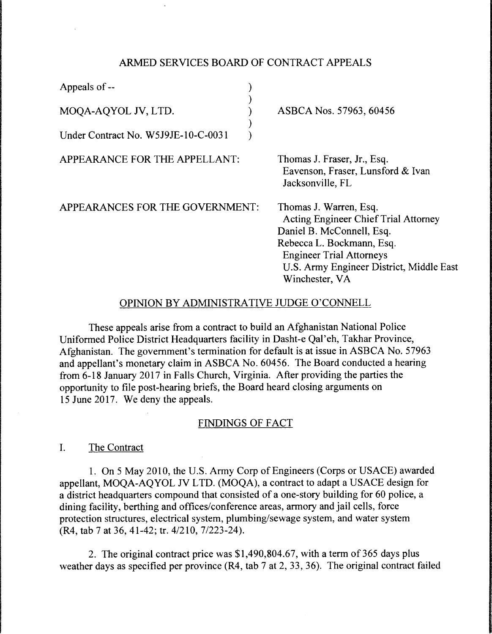#### ARMED SERVICES BOARD OF CONTRACT APPEALS

| Appeals of --                       |                                                                                                                                                                                                                                  |
|-------------------------------------|----------------------------------------------------------------------------------------------------------------------------------------------------------------------------------------------------------------------------------|
| MOQA-AQYOL JV, LTD.                 | ASBCA Nos. 57963, 60456                                                                                                                                                                                                          |
| Under Contract No. W5J9JE-10-C-0031 |                                                                                                                                                                                                                                  |
| APPEARANCE FOR THE APPELLANT:       | Thomas J. Fraser, Jr., Esq.<br>Eavenson, Fraser, Lunsford & Ivan<br>Jacksonville, FL                                                                                                                                             |
| APPEARANCES FOR THE GOVERNMENT:     | Thomas J. Warren, Esq.<br><b>Acting Engineer Chief Trial Attorney</b><br>Daniel B. McConnell, Esq.<br>Rebecca L. Bockmann, Esq.<br><b>Engineer Trial Attorneys</b><br>U.S. Army Engineer District, Middle East<br>Winchester, VA |

#### OPINION BY ADMINISTRATIVE JUDGE O'CONNELL

These appeals arise from a contract to build an Afghanistan National Police Uniformed Police District Headquarters facility in Dasht-e Qal' eh, Takhar Province, Afghanistan. The government's termination for default is at issue in ASBCA No. 57963 and appellant's monetary claim in ASBCA No. 60456. The Board conducted a hearing from 6-18 January 2017 in Falls Church, Virginia. After providing the parties the opportunity to file post-hearing briefs, the Board heard closing arguments on 15 June 2017. We deny the appeals.

### FINDINGS OF FACT

I. The Contract

1. On 5 May 2010, the U.S. Army Corp of Engineers (Corps or USACE) awarded appellant, MOQA-AQYOL JV LTD. (MOQA), a contract to adapt a USACE design for a district headquarters compound that consisted of a one-story building for 60 police, a dining facility, berthing and offices/conference areas, armory and jail cells, force protection structures, electrical system, plumbing/sewage system, and water system (R4, tab 7 at 36, 41-42; tr. 4/210, 7/223-24).

2. The original contract price was \$1,490,804.67, with a term of 365 days plus weather days as specified per province (R4, tab 7 at 2, 33, 36). The original contract failed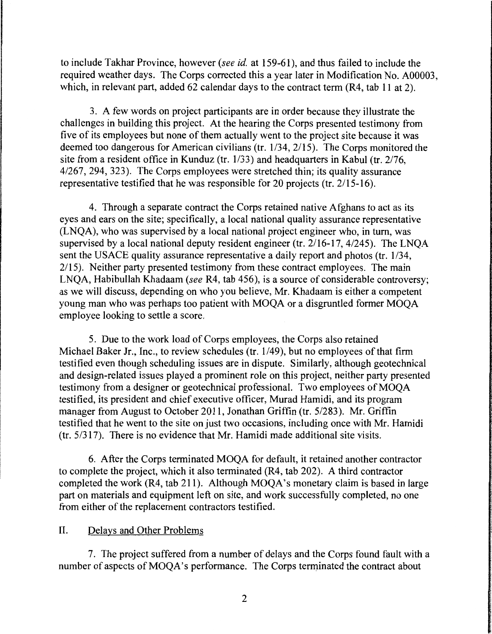to include Takhar Province, however (see *id.* at 159-61 ), and thus failed to include the required weather days. The Corps corrected this a year later in Modification No. A00003, which, in relevant part, added 62 calendar days to the contract term (R4, tab 11 at 2).

3. A few words on project participants are in order because they illustrate the challenges in building this project. At the hearing the Corps presented testimony from five of its employees but none of them actually went to the project site because it was deemed too dangerous for American civilians (tr. 1/34, 2115). The Corps monitored the site from a resident office in Kunduz (tr. 1/33) and headquarters in Kabul (tr. 2/76, 4/267, 294, 323). The Corps employees were stretched thin; its quality assurance representative testified that he was responsible for 20 projects (tr. 2115-16).

4. Through a separate contract the Corps retained native Afghans to act as its eyes and ears on the site; specifically, a local national quality assurance representative (LNQA), who was supervised by a local national project engineer who, in turn, was supervised by a local national deputy resident engineer (tr. 2/16-17, 4/245). The LNQA sent the USACE quality assurance representative a daily report and photos (tr. 1/34, 2115). Neither party presented testimony from these contract employees. The main LNQA, Habibullah Khadaam (see R4, tab 456), is a source of considerable controversy; as we will discuss, depending on who you believe, Mr. Khadaam is either a competent young man who was perhaps too patient with MOQA or a disgruntled former MOQA employee looking to settle a score.

5. Due to the work load of Corps employees, the Corps also retained Michael Baker Jr., Inc., to review schedules (tr. 1/49), but no employees of that firm testified even though scheduling issues are in dispute. Similarly, although geotechnical and design-related issues played a prominent role on this project, neither party presented testimony from a designer or geotechnical professional. Two employees of MOQA testified, its president and chief executive officer, Murad Hamidi, and its program manager from August to October 2011, Jonathan Griffin (tr. 5/283). Mr. Griffin testified that he went to the site on just two occasions, including once with Mr. Hamidi (tr. 5/317). There is no evidence that Mr. Hamidi made additional site visits.

6. After the Corps terminated MOQA for default, it retained another contractor to complete the project, which it also terminated (R4, tab 202). A third contractor completed the work (R4, tab 211). Although MOQA's monetary claim is based in large part on materials and equipment left on site, and work successfully completed, no one from either of the replacement contractors testified.

## II. Delays and Other Problems

7. The project suffered from a number of delays and the Corps found fault with a number of aspects of MOOA's performance. The Corps terminated the contract about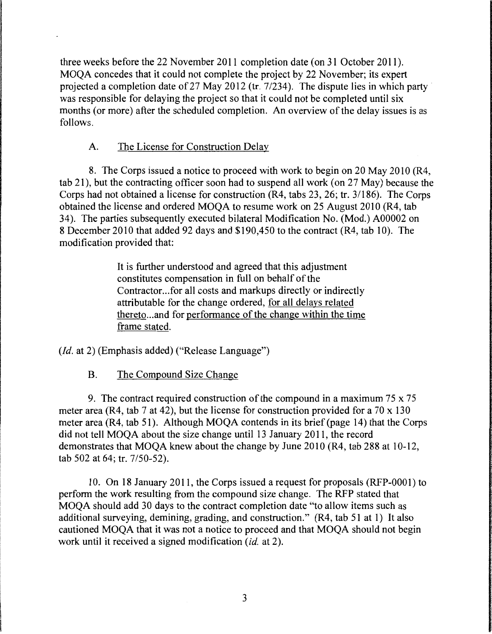three weeks before the 22 November 2011 completion date (on 31 October 2011 ). MOQA concedes that it could not complete the project by 22 November; its expert projected a completion date of 27 May 2012 (tr.  $7/234$ ). The dispute lies in which party was responsible for delaying the project so that it could not be completed until six months (or more) after the scheduled completion. An overview of the delay issues is as follows.

# A. The License for Construction Delay

8. The Corps issued a notice to proceed with work to begin on 20 May 2010 (R4, tab 21), but the contracting officer soon had to suspend all work (on 27 May) because the Corps had not obtained a license for construction (R4, tabs 23, 26; tr. 3/186). The Corps obtained the license and ordered MOQA to resume work on 25 August 2010 (R4, tab 34). The parties subsequently executed bilateral Modification No. (Mod.) A00002 on 8 December 2010 that added 92 days and \$190,450 to the contract (R4, tab 10). The modification provided that:

> It is further understood and agreed that this adjustment constitutes compensation in full on behalf of the Contractor... for all costs and markups directly or indirectly attributable for the change ordered, for all delays related thereto ... and for performance of the change within the time frame stated.

*(Id. at 2)* (Emphasis added) ("Release Language")

B. The Compound Size Change

9. The contract required construction of the compound in a maximum  $75 \times 75$ meter area (R4, tab 7 at 42), but the license for construction provided for a 70 x 130 meter area (R4, tab 51). Although MOQA contends in its brief (page 14) that the Corps did not tell MOQA about the size change until 13 January 2011, the record demonstrates that MOQA knew about the change by June 2010 (R4, tab 288 at 10-12, tab 502 at 64; tr. 7/50-52).

10. On 18 January 2011, the Corps issued a request for proposals (RFP-0001) to perform the work resulting from the compound size change. The RFP stated that MOQA should add 30 days to the contract completion date "to allow items such as additional surveying, demining, grading, and construction." (R4, tab 51 at I) It also cautioned MOQA that it was not a notice to proceed and that MOQA should not begin work until it received a signed modification *(id.* at 2).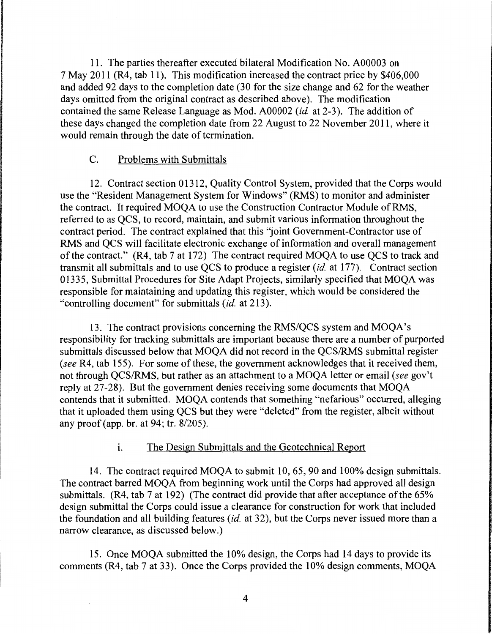11. The parties thereafter executed bilateral Modification No. A00003 on 7 May 2011 (R4, tab 11 ). This modification increased the contract price by \$406,000 and added 92 days to the completion date (30 for the size change and 62 for the weather days omitted from the original contract as described above). The modification contained the same Release Language as Mod. A00002 *(id.* at 2-3). The addition of these days changed the completion date from 22 August to 22 November 2011, where it would remain through the date of termination.

### C. Problems with Submittals

12. Contract section 01312, Quality Control System, provided that the Corps would use the "Resident Management System for Windows" (RMS) to monitor and administer the contract. It required MOQA to use the Construction Contractor Module of RMS, referred to as QCS, to record, maintain, and submit various information throughout the contract period. The contract explained that this "joint Government-Contractor use of RMS and QCS will facilitate electronic exchange of information and overall management of the contract." (R4, tab 7 at 172) The contract required MOQA to use QCS to track and transmit all submittals and to use QCS to produce a register *(id.* at 177). Contract section 01335, Submittal Procedures for Site Adapt Projects, similarly specified that MOQA was responsible for maintaining and updating this register, which would be considered the "controlling document" for submittals *(id.* at 213 ).

13. The contract provisions concerning the RMS/QCS system and MOQA's responsibility for tracking submittals are important because there are a number of purported submittals discussed below that MOQA did not record in the QCS/RMS submittal register *(see* R4, tab 155). For some of these, the government acknowledges that it received them, not through QCS/RMS, but rather as an attachment to a MOQA letter or email *(see* gov't reply at 27-28). But the government denies receiving some documents that MOQA contends that it submitted. MOQA contends that something "nefarious" occurred, alleging that it uploaded them using QCS but they were "deleted" from the register, albeit without any proof (app. hr. at 94; tr. 8/205).

## i. The Design Submittals and the Geotechnical Report

14. The contract required MOQA to submit 10, 65, 90 and 100% design submittals. The contract barred MOQA from beginning work until the Corps had approved all design submittals. (R4, tab 7 at 192) (The contract did provide that after acceptance of the 65% design submittal the Corps could issue a clearance for construction for work that included the foundation and all building features *(id.* at 32), but the Corps never issued more than a narrow clearance, as discussed below.)

15. Once MOQA submitted the 10% design, the Corps had 14 days to provide its comments (R4, tab 7 at 33). Once the Corps provided the 10% design comments, MOQA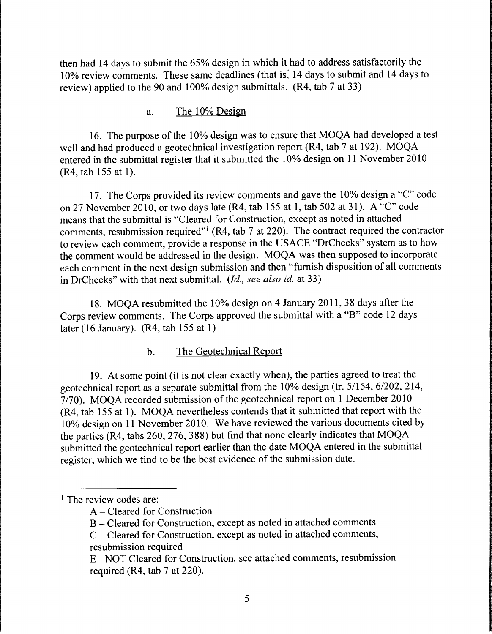then had 14 days to submit the 65% design in which it had to address satisfactorily the 10% review comments. These same deadlines (that is; 14 days to submit and 14 days to review) applied to the 90 and 100% design submittals. (R4, tab 7 at 33)

### a. The 10% Design

16. The purpose of the 10% design was to ensure that MOQA had developed a test well and had produced a geotechnical investigation report (R4, tab 7 at 192). MOQA entered in the submittal register that it submitted the 10% design on 11 November 2010 (R4, tab 155 at 1).

17. The Corps provided its review comments and gave the 10% design a "C" code on 27 November 2010, or two days late  $(R4, tab 155 at 1, tab 502 at 31)$ . A "C" code means that the submittal is "Cleared for Construction, except as noted in attached comments, resubmission required"<sup>1</sup> (R4, tab 7 at 220). The contract required the contractor to review each comment, provide a response in the USACE "DrChecks" system as to how the comment would be addressed in the design. MOQA was then supposed to incorporate each comment in the next design submission and then "furnish disposition of all comments in DrChecks" with that next submittal. *(Id., see also id.* at 33)

18. MOQA resubmitted the 10% design on 4 January 2011, 38 days after the Corps review comments. The Corps approved the submittal with a "B" code 12 days later (16 January). (R4, tab 155 at 1)

### b. The Geotechnical Report

19. At some point (it is not clear exactly when), the parties agreed to treat the geotechnical report as a separate submittal from the 10% design (tr. 5/154, 6/202, 214, 7/70). MOQA recorded submission of the geotechnical report on 1 December 2010 (R4, tab 155 at 1). MOQA nevertheless contends that it submitted that report with the 10% design on 11 November 2010. We have reviewed the various documents cited by the parties (R4, tabs 260, 276, 388) but find that none clearly indicates that MOQA submitted the geotechnical report earlier than the date MOQA entered in the submittal register, which we find to be the best evidence of the submission date.

<sup>&</sup>lt;sup>1</sup> The review codes are:

A - Cleared for Construction

B – Cleared for Construction, except as noted in attached comments

C - Cleared for Construction, except as noted in attached comments, resubmission required

E - NOT Cleared for Construction, see attached comments, resubmission required (R4, tab 7 at 220).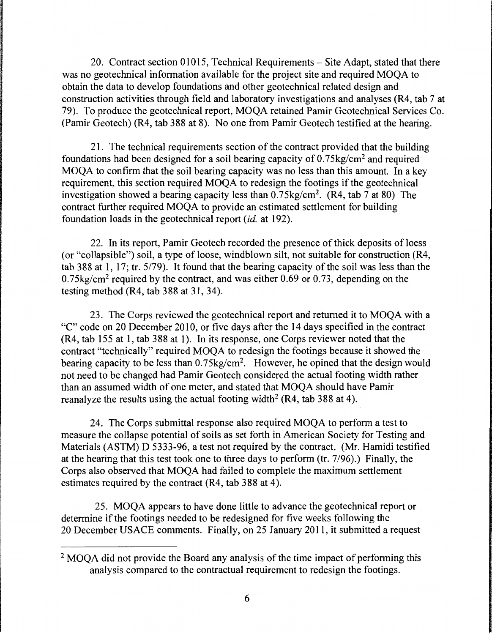20. Contract section 01015, Technical Requirements – Site Adapt, stated that there was no geotechnical information available for the project site and required MOQA to obtain the data to develop foundations and other geotechnical related design and construction activities through field and laboratory investigations and analyses (R4, tab 7 at 79). To produce the geotechnical report, MOQA retained Pamir Geotechnical Services Co. (Pamir Geotech) (R4, tab 388 at 8). No one from Pamir Geotech testified at the hearing.

21. The technical requirements section of the contract provided that the building foundations had been designed for a soil bearing capacity of 0.75kg/cm2 and required MOQA to confirm that the soil bearing capacity was no less than this amount. In a key requirement, this section required MOQA to redesign the footings if the geotechnical investigation showed a bearing capacity less than 0.75kg/cm2. (R4, tab 7 at 80) The contract further required MOQA to provide an estimated settlement for building foundation loads in the geotechnical report *(id.* at 192).

22. In its report, Pamir Geotech recorded the presence of thick deposits of loess (or "collapsible") soil, a type of loose, windblown silt, not suitable for construction (R4, tab 388 at 1, 17; tr. 5/79). It found that the bearing capacity of the soil was less than the 0.75kg/cm2 required by the contract, and was either 0.69 or 0.73, depending on the testing method (R4, tab 388 at 31, 34).

23. The Corps reviewed the geotechnical report and returned it to MOQA with a "C" code on 20 December 2010, or five days after the 14 days specified in the contract (R4, tab 155 at 1, tab 388 at 1). In its response, one Corps reviewer noted that the contract "technically" required MOQA to redesign the footings because it showed the bearing capacity to be less than  $0.75 \text{kg/cm}^2$ . However, he opined that the design would not need to be changed had Pamir Geotech considered the actual footing width rather than an assumed width of one meter, and stated that MOQA should have Pamir reanalyze the results using the actual footing width<sup>2</sup> (R4, tab 388 at 4).

24. The Corps submittal response also required MOQA to perform a test to measure the collapse potential of soils as set forth in American Society for Testing and Materials (ASTM) D 5333-96, a test not required by the contract. (Mr. Hamidi testified at the hearing that this test took one to three days to perform (tr. 7/96).) Finally, the Corps also observed that MOQA had failed to complete the maximum settlement estimates required by the contract (R4, tab 388 at 4).

25. MOQA appears to have done little to advance the geotechnical report or determine if the footings needed to be redesigned for five weeks following the 20 December USACE comments. Finally, on 25 January 2011, it submitted a request

<sup>&</sup>lt;sup>2</sup> MOOA did not provide the Board any analysis of the time impact of performing this analysis compared to the contractual requirement to redesign the footings.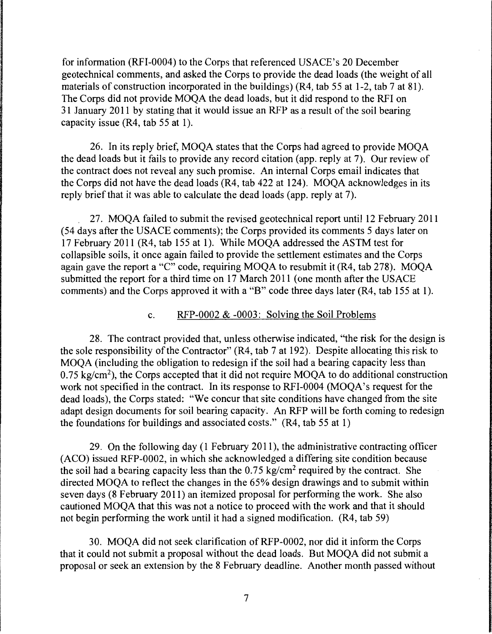for information (RFI-0004) to the Corps that referenced USACE's 20 December geotechnical comments, and asked the Corps to provide the dead loads (the weight of all materials of construction incorporated in the buildings) (R4, tab 55 at 1-2, tab 7 at 81). The Corps did not provide MOQA the dead loads, but it did respond to the RFI on 31 January 2011 by stating that it would issue an RFP as a result of the soil bearing capacity issue  $(R4, tab 55 at 1)$ .

26. In its reply brief, MOQA states that the Corps had agreed to provide MOQA the dead loads but it fails to provide any record citation (app. reply at 7). Our review of the contract does not reveal any such promise. An internal Corps email indicates that the Corps did not have the dead loads (R4, tab 422 at 124). MOQA acknowledges in its reply brief that it was able to calculate the dead loads (app. reply at 7).

. 27. MOQA failed to submit the revised geotechnical report until 12 February 2011 (54 days after the USACE comments); the Corps provided its comments 5 days later on 17 February 2011 (R4, tab 155 at 1). While MOQA addressed the ASTM test for collapsible soils, it once again failed to provide the settlement estimates and the Corps again gave the report a "C" code, requiring MOQA to resubmit it (R4, tab 278). MOQA submitted the report for a third time on 17 March 2011 (one month after the USACE comments) and the Corps approved it with a "B" code three days later (R4, tab 155 at 1).

#### c. RFP-0002 & -0003: Solving the Soil Problems

28. The contract provided that, unless otherwise indicated, "the risk for the design is the sole responsibility of the Contractor" (R4, tab 7 at 192). Despite allocating this risk to MOQA (including the obligation to redesign if the soil had a bearing capacity less than  $0.75 \text{ kg/cm}^2$ ), the Corps accepted that it did not require MOQA to do additional construction work not specified in the contract. In its response to RFI-0004 (MOQA's request for the dead loads), the Corps stated: "We concur that site conditions have changed from the site adapt design documents for soil bearing capacity. An RFP will be forth coming to redesign the foundations for buildings and associated costs." (R4, tab 55 at 1)

29. On the following day ( 1 February 2011 ), the administrative contracting officer (ACO) issued RFP-0002, in which she acknowledged a differing site condition because the soil had a bearing capacity less than the 0.75 kg/cm2 required by the contract. She directed MOQA to reflect the changes in the 65% design drawings and to submit within seven days (8 February 2011) an itemized proposal for performing the work. She also cautioned MOQA that this was not a notice to proceed with the work and that it should not begin performing the work until it had a signed modification. (R4, tab 59)

30. MOQA did not seek clarification ofRFP-0002, nor did it inform the Corps that it could not submit a proposal without the dead loads. But MOQA did not submit a proposal or seek an extension by the 8 February deadline. Another month passed without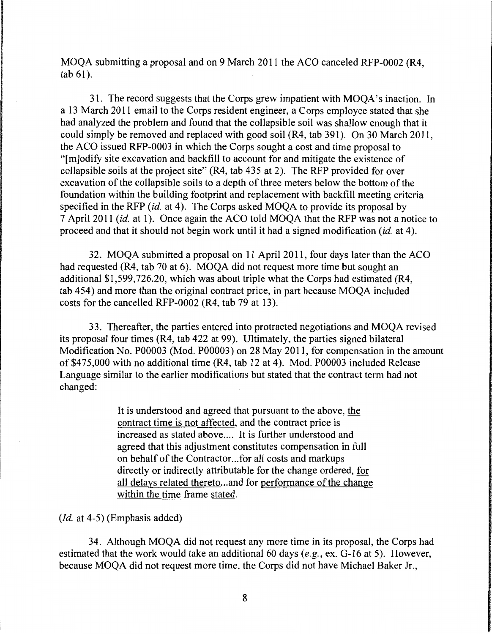MOQA submitting a proposal and on 9 March 2011 the ACO canceled RFP-0002 (R4, tab 61).

31. The record suggests that the Corps grew impatient with MOQA's inaction. In a 13 March 2011 email to the Corps resident engineer, a Corps employee stated that she had analyzed the problem and found that the collapsible soil was shallow enough that it could simply be removed and replaced with good soil (R4, tab 391 ). On 30 March 2011, the ACO issued RFP-0003 in which the Corps sought a cost and time proposal to "[m]odify site excavation and backfill to account for and mitigate the existence of collapsible soils at the project site" (R4, tab 435 at 2). The RFP provided for over excavation of the collapsible soils to a depth of three meters below the bottom of the foundation within the building footprint and replacement with backfill meeting criteria specified in the RFP *(id.* at 4). The Corps asked MOQA to provide its proposal by 7 April 2011 *(id.* at 1 ). Once again the ACO told MOQA that the RFP was not a notice to proceed and that it should not begin work until it had a signed modification *(id.* at 4 ).

32. MOQA submitted a proposal on 11 April 2011, four days later than the ACO had requested (R4, tab 70 at 6). MOQA did not request more time but sought an additional \$1,599,726.20, which was about triple what the Corps had estimated (R4, tab 454) and more than the original contract price, in part because MOQA included costs for the cancelled RFP-0002 (R4, tab 79 at 13).

33. Thereafter, the parties entered into protracted negotiations and MOQA revised its proposal four times (R4, tab 422 at 99). Ultimately, the parties signed bilateral Modification No. P00003 (Mod. P00003) on 28 May 2011, for compensation in the amount of \$475,000 with no additional time (R4, tab 12 at 4). Mod. P00003 included Release Language similar to the earlier modifications but stated that the contract term had not changed:

> It is understood and agreed that pursuant to the above, the contract time is not affected, and the contract price is increased as stated above.... It is further understood and agreed that this adjustment constitutes compensation in full on behalf of the Contractor ... for all costs and markups directly or indirectly attributable for the change ordered, for all delays related thereto ... and for performance of the change within the time frame stated.

*(Id.* at 4-5) (Emphasis added)

34. Although MOQA did not request any more time in its proposal, the Corps had estimated that the work would take an additional 60 days (e.g., ex. G-16 at 5). However, because MOQA did not request more time, the Corps did not have Michael Baker Jr.,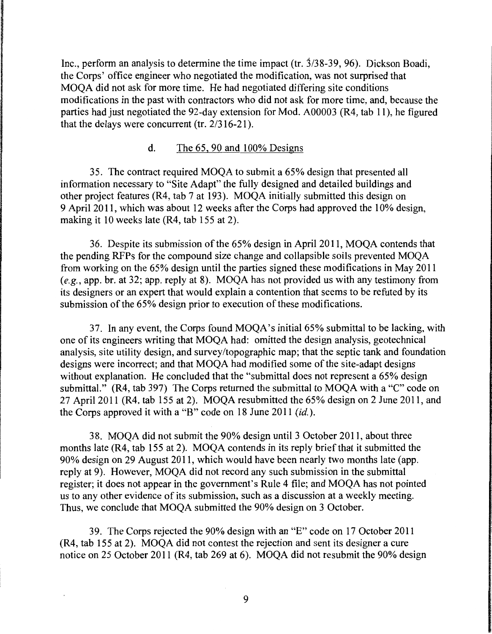Inc., perform an analysis to determine the time impact (tr. 3/38-39, 96). Dickson Boadi, the Corps' office engineer who negotiated the modification, was not surprised that MOQA did not ask for more time. He had negotiated differing site conditions modifications in the past with contractors who did not ask for more time, and, because the parties had just negotiated the 92-day extension for Mod. A00003 (R4, tab 11 ), he figured that the delays were concurrent (tr.  $2/316-21$ ).

### d. The 65, 90 and 100% Designs

35. The contract required MOQA to submit a 65% design that presented all information necessary to "Site Adapt" the fully designed and detailed buildings and other project features (R4, tab 7 at 193 ). MOQA initially submitted this design on 9 April 2011, which was about 12 weeks after the Corps had approved the 10% design, making it 10 weeks late (R4, tab 155 at 2).

36. Despite its submission of the 65% design in April 2011, MOQA contends that the pending RFPs for the compound size change and collapsible soils prevented MOQA from working on the 65% design until the parties signed these modifications in May 2011  $(e.g., app. br. at 32; app. reply at 8)$ . MOOA has not provided us with any testimony from its designers or an expert that would explain a contention that seems to be refuted by its submission of the 65% design prior to execution of these modifications.

37. In any event, the Corps found MOQA's initial 65% submittal to be lacking, with one of its engineers writing that MOQA had: omitted the design analysis, geotechnical analysis, site utility design, and survey/topographic map; that the septic tank and foundation designs were incorrect; and that MOQA had modified some of the site-adapt designs without explanation. He concluded that the "submittal does not represent a 65% design submittal." (R4, tab 397) The Corps returned the submittal to MOQA with a "C" code on 27 April 2011 (R4, tab 155 at 2). MOQA resubmitted the 65% design on 2 June 2011, and the Corps approved it with a "B" code on 18 June 2011 *(id.).* 

38. MOQA did not submit the 90% design until 3 October 2011, about three months late (R4, tab 155 at 2). MOQA contends in its reply brief that it submitted the 90% design on 29 August 2011, which would have been nearly two months late (app. reply at 9). However, MOQA did not record any such submission in the submittal register; it does not appear in the government's Rule 4 file; and MOQA has not pointed us to any other evidence of its submission, such as a discussion at a weekly meeting. Thus, we conclude that MOQA submitted the 90% design on 3 October.

39. The Corps rejected the 90% design with an "E" code on 17 October 2011 (R4, tab 155 at 2). MOQA did not contest the rejection and sent its designer a cure notice on 25 October 2011 (R4, tab 269 at 6). MOQA did not resubmit the 90% design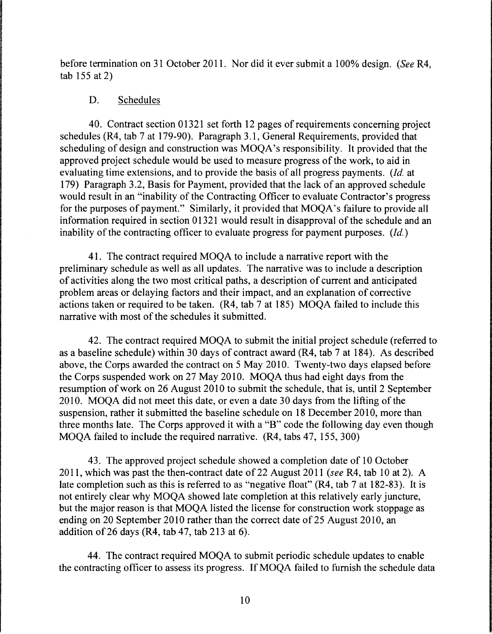before termination on 31 October 2011. Nor did it ever submit a 100% design. *(See* R4, tab 155 at 2)

### D. Schedules

40. Contract section 01321 set forth 12 pages of requirements concerning project schedules (R4, tab 7 at 179-90). Paragraph 3.1, General Requirements, provided that scheduling of design and construction was MOQA's responsibility. It provided that the approved project schedule would be used to measure progress of the work, to aid in evaluating time extensions, and to provide the basis of all progress payments. *(Id.* at 179) Paragraph 3 .2, Basis for Payment, provided that the lack of an approved schedule would result in an "inability of the Contracting Officer to evaluate Contractor's progress for the purposes of payment." Similarly, it provided that MOQA's failure to provide all information required in section 01321 would result in disapproval of the schedule and an inability of the contracting officer to evaluate progress for payment purposes. *(Id.)* 

41. The contract required MOQA to include a narrative report with the preliminary schedule as well as all updates. The narrative was to include a description of activities along the two most critical paths, a description of current and anticipated problem areas or delaying factors and their impact, and an explanation of corrective actions taken or required to be taken. (R4, tab 7 at 185) MOQA failed to include this narrative with most of the schedules it submitted.

42. The contract required MOQA to submit the initial project schedule (referred to as a baseline schedule) within 30 days of contract award (R4, tab 7 at 184). As described above, the Corps awarded the contract on 5 May 2010. Twenty-two days elapsed before the Corps suspended work on 27 May 2010. MOQA thus had eight days from the resumption of work on 26 August 2010 to submit the schedule, that is, until 2 September 2010. MOQA did not meet this date, or even a date 30 days from the lifting of the suspension, rather it submitted the baseline schedule on 18 December 2010, more than three months late. The Corps approved it with a "B" code the following day even though MOQA failed to include the required narrative. (R4, tabs 47, 155, 300)

43. The approved project schedule showed a completion date of 10 October 2011, which was past the then-contract date of 22 August 2011 *(see* R4, tab 10 at 2). A late completion such as this is referred to as "negative float" (R4, tab 7 at 182-83 ). It is not entirely clear why MOQA showed late completion at this relatively early juncture, but the major reason is that MOQA listed the license for construction work stoppage as ending on 20 September 2010 rather than the correct date of 25 August 2010, an addition of 26 days (R4, tab 47, tab 213 at 6).

44. The contract required MOQA to submit periodic schedule updates to enable the contracting officer to assess its progress. If MOQA failed to furnish the schedule data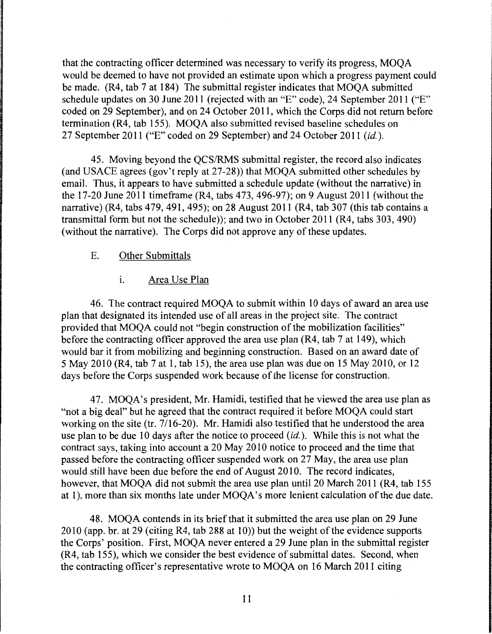that the contracting officer determined was necessary to verify its progress, MOQA would be deemed to have not provided an estimate upon which a progress payment could be made. (R4, tab 7 at 184) The submittal register indicates that MOQA submitted schedule updates on 30 June 2011 (rejected with an "E" code), 24 September 2011 ("E" coded on 29 September), and on 24 October 2011, which the Corps did not return before termination (R4, tab 155). MOQA also submitted revised baseline schedules on 27 September 2011 ("E" coded on 29 September) and 24 October 2011 *(id.).* 

45. Moving beyond the QCS/RMS submittal register, the record also indicates (and USACE agrees (gov't reply at 27-28)) that MOQA submitted other schedules by email. Thus, it appears to have submitted a schedule update (without the narrative) in the 17-20 June 2011 timeframe (R4, tabs 473, 496-97); on 9 August 2011 (without the narrative) (R4, tabs 479, 491, 495); on 28 August 2011 (R4, tab 307 (this tab contains a transmittal form but not the schedule)); and two in October 2011 (R4, tabs 303, 490) (without the narrative). The Corps did not approve any of these updates.

### E. Other Submittals

### 1. Area Use Plan

46. The contract required MOQA to submit within 10 days of award an area use plan that designated its intended use of all areas in the project site. The contract provided that MOQA could not "begin construction of the mobilization facilities" before the contracting officer approved the area use plan (R4, tab 7 at 149), which would bar it from mobilizing and beginning construction. Based on an award date of 5 May 2010 (R4, tab 7 at 1, tab 15), the area use plan was due on 15 May 2010, or 12 days before the Corps suspended work because of the license for construction.

47. MOQA's president, Mr. Hamidi, testified that he viewed the area use plan as "not a big deal" but he agreed that the contract required it before MOQA could start working on the site (tr.  $7/16-20$ ). Mr. Hamidi also testified that he understood the area use plan to be due 10 days after the notice to proceed  $(id)$ . While this is not what the contract says, taking into account a 20 May 2010 notice to proceed and the time that passed before the contracting officer suspended work on 27 May, the area use plan would still have been due before the end of August 2010. The record indicates, however, that MOQA did not submit the area use plan until 20 March 2011 (R4, tab 155 at 1), more than six months late under MOQA's more lenient calculation of the due date.

48. MOQA contends in its brief that it submitted the area use plan on 29 June 2010 (app. br. at 29 (citing R4, tab 288 at 10)) but the weight of the evidence supports the Corps' position. First, MOQA never entered a 29 June plan in the submittal register  $(R4, tab 155)$ , which we consider the best evidence of submittal dates. Second, when the contracting officer's representative wrote to MOQA on 16 March 2011 citing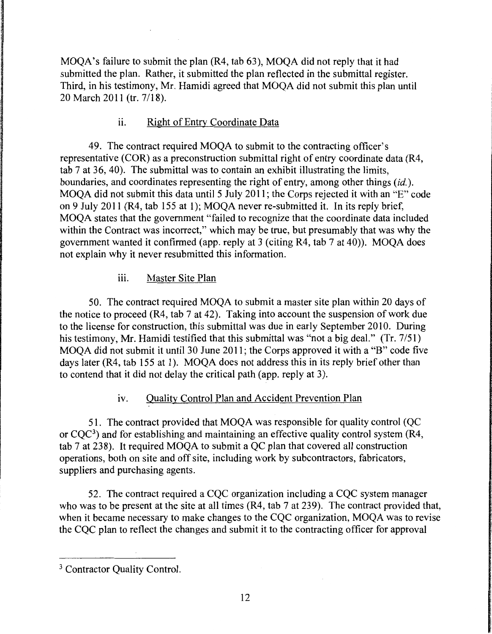MOQA's failure to submit the plan (R4, tab 63), MOQA did not reply that it had submitted the plan. Rather, it submitted the plan reflected in the submittal register. Third, in his testimony, Mr. Hamidi agreed that MOQA did not submit this plan until 20 March 2011 (tr. 7/18).

# ii. Right of Entry Coordinate Data

49. The contract required MOQA to submit to the contracting officer's representative (COR) as a preconstruction submittal right of entry coordinate data (R4, tab 7 at 36, 40). The submittal was to contain an exhibit illustrating the limits, boundaries, and coordinates representing the right of entry, among other things *(id.).*  MOQA did not submit this data until 5 July 2011; the Corps rejected it with an "E" code on 9 July 2011 (R4, tab 155 at 1); MOOA never re-submitted it. In its reply brief, MOQA states that the government "failed to recognize that the coordinate data included within the Contract was incorrect," which may be true, but presumably that was why the government wanted it confirmed (app. reply at 3 (citing R4, tab 7 at 40)). MOQA does not explain why it never resubmitted this information.

# iii. Master Site Plan

50. The contract required MOQA to submit a master site plan within 20 days of the notice to proceed (R4, tab 7 at 42). Taking into account the suspension of work due to the license for construction, this submittal was due in early September 2010. During his testimony, Mr. Hamidi testified that this submittal was "not a big deal." (Tr. 7/51) MOQA did not submit it until 30 June 2011; the Corps approved it with a "B" code five days later (R4, tab 155 at 1). MOQA does not address this in its reply brief other than to contend that it did not delay the critical path (app. reply at 3).

# iv. Quality Control Plan and Accident Prevention Plan

51. The contract provided that MOQA was responsible for quality control (QC or  $COC<sup>3</sup>$ ) and for establishing and maintaining an effective quality control system (R4, tab 7 at 238). It required MOQA to submit a QC plan that covered all construction operations, both on site and off site, including work by subcontractors, fabricators, suppliers and purchasing agents.

52. The contract required a CQC organization including a CQC system manager who was to be present at the site at all times (R4, tab 7 at 239). The contract provided that, when it became necessary to make changes to the CQC organization, MOQA was to revise the CQC plan to reflect the changes and submit it to the contracting officer for approval

<sup>&</sup>lt;sup>3</sup> Contractor Ouality Control.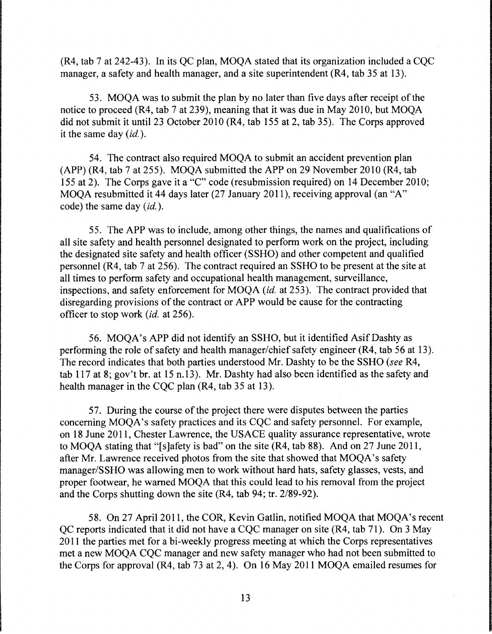(R4, tab 7 at 242-43). In its QC plan, MOQA stated that its organization included a CQC manager, a safety and health manager, and a site superintendent (R4, tab 35 at 13).

53. MOQA was to submit the plan by no later than five days after receipt of the notice to proceed (R4, tab 7 at 239), meaning that it was due in May 2010, but MOQA did not submit it until 23 October 2010 (R4, tab 155 at 2, tab 35). The Corps approved it the same day *(id.).* 

54. The contract also required MOQA to submit an accident prevention plan (APP) (R4, tab 7 at 255). MOQA submitted the APP on 29 November 2010 (R4, tab 155 at 2). The Corps gave it a "C" code (resubmission required) on 14 December 2010; MOQA resubmitted it 44 days later (27 January 2011), receiving approval (an "A" code) the same day *(id.).* 

55. The APP was to include, among other things, the names and qualifications of all site safety and health personnel designated to perform work on the project, including the designated site safety and health officer (SSHO) and other competent and qualified personnel (R4, tab 7 at 256). The contract required an SSHO to be present at the site at all times to perform safety and occupational health management, surveillance, inspections, and safety enforcement for MOQA *(id.* at 253). The contract provided that disregarding provisions of the contract or APP would be cause for the contracting officer to stop work *(id.* at 256).

56. MOQA's APP did not identify an SSHO, but it identified Asif Dashty as performing the role of safety and health manager/chief safety engineer (R4, tab 56 at 13). The record indicates that both parties understood Mr. Dashty to be the SSHO (see R4, tab 117 at 8; gov't br. at 15 n.13). Mr. Dashty had also been identified as the safety and health manager in the CQC plan (R4, tab 35 at 13).

57. During the course of the project there were disputes between the parties concerning MOQA's safety practices and its CQC and safety personnel. For example, on 18 June 2011, Chester Lawrence, the USACE quality assurance representative, wrote to MOQA stating that "[s]afety is bad" on the site (R4, tab 88). And on 27 June 2011, after Mr. Lawrence received photos from the site that showed that MOQA's safety manager/SSHO was allowing men to work without hard hats, safety glasses, vests, and proper footwear, he warned MOQA that this could lead to his removal from the project and the Corps shutting down the site (R4, tab 94; tr. 2/89-92).

58. On 27 April 2011, the COR, Kevin Gatlin, notified MOQA that MOQA's recent QC reports indicated that it did not have a CQC manager on site (R4, tab 71). On 3 May 2011 the parties met for a bi-weekly progress meeting at which the Corps representatives met a new MOQA CQC manager and new safety manager who had not been submitted to the Corps for approval (R4, tab 73 at 2, 4). On 16 May 2011 MOQA emailed resumes for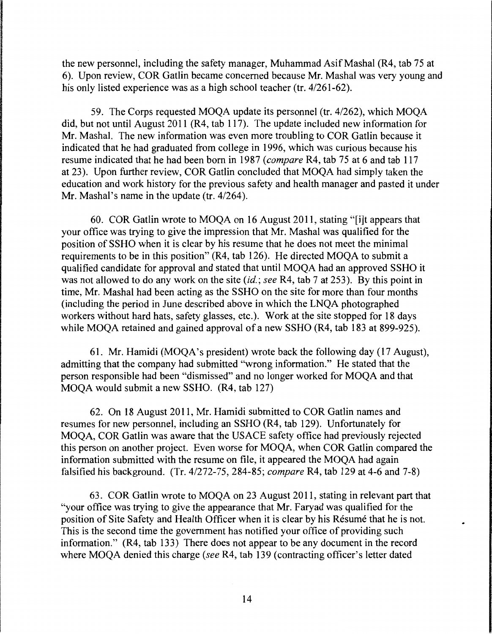the new personnel, including the safety manager, Muhammad AsifMashal (R4, tab 75 at 6). Upon review, COR Gatlin became concerned because Mr. Mashal was very young and his only listed experience was as a high school teacher (tr. 4/261-62).

59. The Corps requested MOQA update its personnel (tr. 4/262), which MOQA did, but not until August 2011 (R4, tab 117). The update included new information for Mr. Mashal. The new information was even more troubling to COR Gatlin because it indicated that he had graduated from college in 1996, which was curious because his resume indicated that he had been born in 1987 *(compare* R4, tab 75 at 6 and tab 117 at 23). Upon further review, COR Gatlin concluded that MOQA had simply taken the education and work history for the previous safety and health manager and pasted it under Mr. Mashal's name in the update (tr. 4/264).

60. COR Gatlin wrote to MOQA on 16 August 2011, stating "[i]t appears that your office was trying to give the impression that Mr. Mashal was qualified for the position of SSHO when it is clear by his resume that he does not meet the minimal requirements to be in this position" (R4, tab 126). He directed MOQA to submit a qualified candidate for approval and stated that until MOQA had an approved SSHO it was not allowed to do any work on the site *(id.; see* R4, tab 7 at 253). By this point in time, Mr. Mashal had been acting as the SSHO on the site for more than four months (including the period in June described above in which the LNQA photographed workers without hard hats, safety glasses, etc.). Work at the site stopped for 18 days while MOOA retained and gained approval of a new SSHO (R4, tab 183 at 899-925).

61. Mr. Hamidi (MOQA's president) wrote back the following day (17 August), admitting that the company had submitted "wrong information." He stated that the person responsible had been "dismissed" and no longer worked for MOQA and that MOQA would submit a new SSHO. (R4, tab 127)

62. On 18 August 2011, Mr. Hamidi submitted to COR Gatlin names and resumes for new personnel, including an SSHO (R4, tab 129). Unfortunately for MOQA, COR Gatlin was aware that the USACE safety office had previously rejected this person on another project. Even worse for MOQA, when COR Gatlin compared the information submitted with the resume on file, it appeared the MOQA had again falsified his background. (Tr. 4/272-75, 284-85; *compare* R4, tab 129 at 4-6 and 7-8)

63. COR Gatlin wrote to MOQA on 23 August 2011, stating in relevant part that "your office was trying to give the appearance that Mr. Faryad was qualified for the position of Site Safety and Health Officer when it is clear by his Resume that he is not. This is the second time the government has notified your office of providing such information." (R4, tab 133) There does not appear to be any document in the record where MOQA denied this charge *(see* R4, tab 139 (contracting officer's letter dated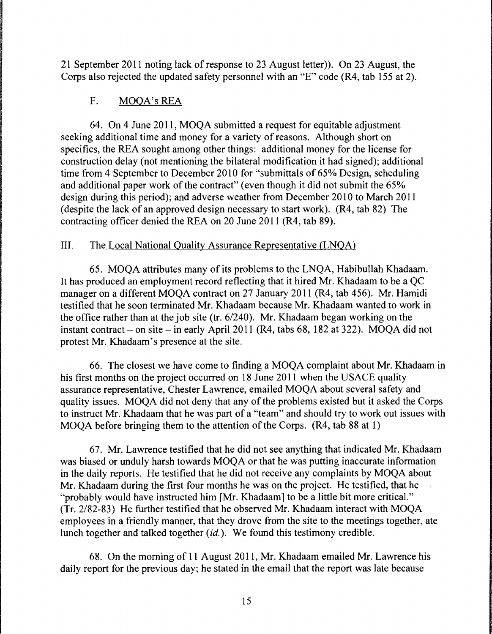21 September 2011 noting lack of response to 23 August letter)). On 23 August, the Corps also rejected the updated safety personnel with an "E" code (R4, tab 155 at 2).

# F. MOQA's REA

64. On 4 June 2011, MOQA submitted a request for equitable adjustment seeking additional time and money for a variety of reasons. Although short on specifics, the REA sought among other things: additional money for the license for construction delay (not mentioning the bilateral modification it had signed); additional time from 4 September to December 2010 for "submittals of 65% Design, scheduling and additional paper work of the contract" (even though it did not submit the 65% design during this period); and adverse weather from December 2010 to March 2011 (despite the lack of an approved design necessary to start work). (R4, tab 82) The contracting officer denied the REA on 20 June 2011 (R4, tab 89).

# III. The Local National Quality Assurance Representative (LNQA)

65. MOQA attributes many of its problems to the LNQA, Habibullah Khadaam. It has produced an employment record reflecting that it hired Mr. Khadaam to be a QC manager on a different MOQA contract on 27 January 2011 (R4, tab 456). Mr. Hamidi testified that he soon terminated Mr. Khadaam because Mr. Khadaam wanted to work in the office rather than at the job site (tr. 6/240). Mr. Khadaam began working on the instant contract - on site - in early April 2011 (R4, tabs 68, 182 at 322). MOQA did not protest Mr. Khadaam's presence at the site.

66. The closest we have come to finding a MOQA complaint about Mr. Khadaam in his first months on the project occurred on 18 June 2011 when the USACE quality assurance representative, Chester Lawrence, emailed MOQA about several safety and quality issues. MOQA did not deny that any of the problems existed but it asked the Corps to instruct Mr. Khadaam that he was part of a "team" and should try to work out issues with MOQA before bringing them to the attention of the Corps. (R4, tab 88 at 1)

67. Mr. Lawrence testified that he did not see anything that indicated Mr. Khadaam was biased or unduly harsh towards MOQA or that he was putting inaccurate information in the daily reports. He testified that he did not receive any complaints by MOQA about Mr. Khadaam during the first four months he was on the project. He testified, that he "probably would have instructed him [Mr. Khadaam] to be a little bit more critical." (Tr. 2/82-83) He further testified that he observed Mr. Khadaam interact with MOQA employees in a friendly manner, that they drove from the site to the meetings together, ate lunch together and talked together  $(id)$ . We found this testimony credible.

68. On the morning of 11August2011, Mr. Khadaam emailed Mr. Lawrence his daily report for the previous day; he stated in the email that the report was late because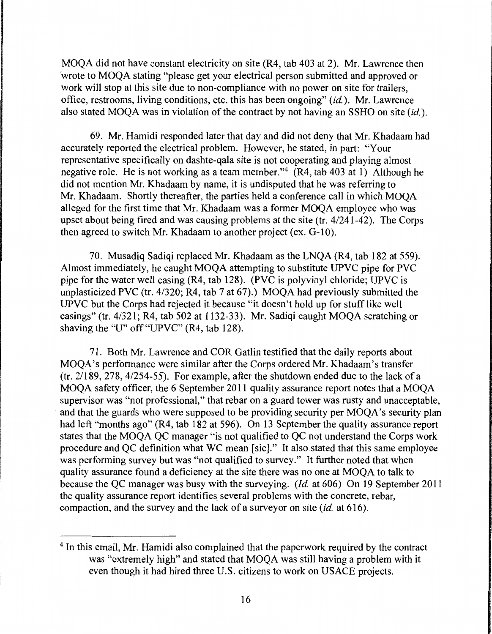MOQA did not have constant electricity on site (R4, tab 403 at 2). Mr. Lawrence then ·wrote to MOQA stating "please get your electrical person submitted and approved or work will stop at this site due to non-compliance with no power on site for trailers, office, restrooms, living conditions, etc. this has been ongoing" *(id.).* Mr. Lawrence also stated MOQA was in violation of the contract by not having an SSHO on site *(id.).* 

69. Mr. Hamidi responded later that day and did not deny that Mr. Khadaam had accurately reported the electrical problem. However, he stated, in part: "Your representative specifically on dashte-qala site is not cooperating and playing almost negative role. He is not working as a team member."4 (R4, tab 403 at 1) Although he did not mention Mr. Khadaam by name, it is undisputed that he was referring to Mr. Khadaam. Shortly thereafter, the parties held a conference call in which MOQA alleged for the first time that Mr. Khadaam was a former MOQA employee who was upset about being fired and was causing problems at the site (tr. 4/241-42). The Corps then agreed to switch Mr. Khadaam to another project (ex. G-10).

70. Musadiq Sadiqi replaced Mr. Khadaam as the LNQA (R4, tab 182 at 559). Almost immediately, he caught MOQA attempting to substitute UPVC pipe for PVC pipe for the water well casing (R4, tab 128). (PVC is polyvinyl chloride; UPVC is unplasticized PVC (tr. 4/320; R4, tab 7 at 67).) MOQA had previously submitted the UPVC but the Corps had rejected it because "it doesn't hold up for stuff like well casings" (tr. 4/321; R4, tab 502 at 1132-33). Mr. Sadiqi caught MOQA scratching or shaving the "U" off "UPVC" (R4, tab 128).

71. Both Mr. Lawrence and COR Gatlin testified that the daily reports about MOQA's performance were similar after the Corps ordered Mr. Khadaam's transfer (tr. 2/189, 278, 4/254-55). For example, after the shutdown ended due to the lack of a MOQA safety officer, the 6 September 2011 quality assurance report notes that a MOQA supervisor was "not professional," that rebar on a guard tower was rusty and unacceptable, and that the guards who were supposed to be providing security per MOQA's security plan had left "months ago" (R4, tab 182 at 596). On 13 September the quality assurance report states that the MOQA QC manager "is not qualified to QC not understand the Corps work procedure and QC definition what WC mean [sic]." It also stated that this same employee was performing survey but was "not qualified to survey." It further noted that when quality assurance found a deficiency at the site there was no one at MOQA to talk to because the QC manager was busy with the surveying. *(Id.* at 606) On 19 September 2011 the quality assurance report identifies several problems with the concrete, rebar, compaction, and the survey and the lack of a surveyor on site *(id.* at 616).

<sup>&</sup>lt;sup>4</sup> In this email, Mr. Hamidi also complained that the paperwork required by the contract was "extremely high" and stated that MOQA was still having a problem with it even though it had hired three U.S. citizens to work on USACE projects.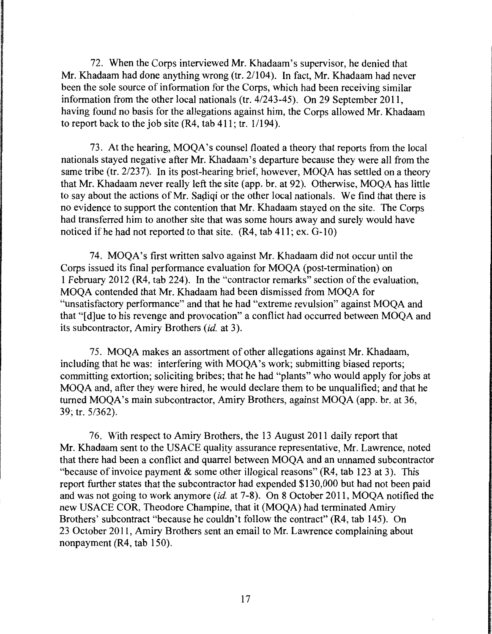72. When the Corps interviewed Mr. Khadaam's supervisor, he denied that Mr. Khadaam had done anything wrong (tr. 2/104). In fact, Mr. Khadaam had never been the sole source of information for the Corps, which had been receiving similar information from the other local nationals (tr. 4/243-45). On 29 September 2011, having found no basis for the allegations against him, the Corps allowed Mr. Khadaam to report back to the job site (R4, tab 411; tr. 1/194).

73. At the hearing, MOQA's counsel floated a theory that reports from the local nationals stayed negative after Mr. Khadaam's departure because they were all from the same tribe (tr. 2/237). In its post-hearing brief, however, MOQA has settled on a theory that Mr. Khadaam never really left the site (app. br. at 92). Otherwise, MOQA has little to say about the actions of Mr. Sadiqi or the other local nationals. We find that there is no evidence to support the contention that Mr. Khadaam stayed on the site. The Corps had transferred him to another site that was some hours away and surely would have noticed if he had not reported to that site. (R4, tab 411; ex. G-10)

74. MOQA's first written salvo against Mr. Khadaam did not occur until the Corps issued its final performance evaluation for MOQA (post-termination) on 1 February 2012 (R4, tab 224). In the "contractor remarks" section of the evaluation, MOQA contended that Mr. Khadaam had been dismissed from MOQA for "unsatisfactory performance" and that he had "extreme revulsion" against MOQA and that "[ d]ue to his revenge and provocation" a conflict had occurred between MOQA and its subcontractor, Amiry Brothers *(id.* at 3).

75. MOQA makes an assortment of other allegations against Mr. Khadaam, including that he was: interfering with MOQA's work; submitting biased reports; committing extortion; soliciting bribes; that he had "plants" who would apply for jobs at MOQA and, after they were hired, he would declare them to be unqualified; and that he turned MOQA's main subcontractor, Amiry Brothers, against MOQA (app. br. at 36, 39; tr. 5/362).

76. With respect to Amiry Brothers, the 13 August 2011 daily report that Mr. Khadaam sent to the USACE quality assurance representative, Mr. Lawrence, noted that there had been a conflict and quarrel between MOQA and an unnamed subcontractor "because of invoice payment  $\&$  some other illogical reasons" (R4, tab 123 at 3). This report further states that the subcontractor had expended \$130,000 but had not been paid and was not going to work anymore *(id.* at 7-8). On 8 October 2011, MOQA notified the new USACE COR, Theodore Champine, that it (MOQA) had terminated Amiry Brothers' subcontract "because he couldn't follow the contract" (R4, tab 145). On 23 October 2011, Amiry Brothers sent an email to Mr. Lawrence complaining about nonpayment (R4, tab 150).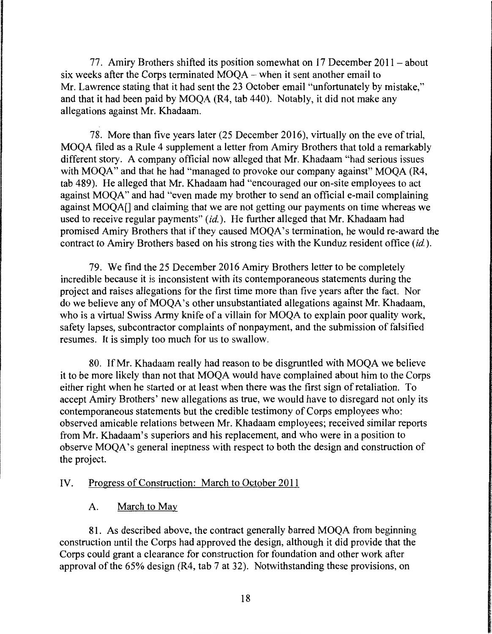77. Amiry Brothers shifted its position somewhat on  $17$  December  $2011 - about$ six weeks after the Corps terminated MOQA - when it sent another email to Mr. Lawrence stating that it had sent the 23 October email "unfortunately by mistake," and that it had been paid by MOQA (R4, tab 440). Notably, it did not make any allegations against Mr. Khadaam.

78. More than five years later (25 December 2016), virtually on the eve of trial, MOQA filed as a Rule 4 supplement a letter from Amiry Brothers that told a remarkably different story. A company official now alleged that Mr. Khadaam "had serious issues with MOOA" and that he had "managed to provoke our company against" MOOA (R4, tab 489). He alleged that Mr. Khadaam had "encouraged our on-site employees to act against MOQA" and had "even made my brother to send an official e-mail complaining against MOQA[] and claiming that we are not getting our payments on time whereas we used to receive regular payments" *(id.).* He further alleged that Mr. Khadaam had promised Amiry Brothers that if they caused MOQA's termination, he would re-award the contract to Amiry Brothers based on his strong ties with the Kunduz resident office *(id.).* 

79. We find the 25 December 2016 Amiry Brothers letter to be completely incredible because it is inconsistent with its contemporaneous statements during the project and raises allegations for the first time more than five years after the fact. Nor do we believe any of MOQA's other unsubstantiated allegations against Mr. Khadaam, who is a virtual Swiss Army knife of a villain for MOQA to explain poor quality work, safety lapses, subcontractor complaints of nonpayment, and the submission of falsified resumes. It is simply too much for us to swallow.

80. IfMr. Khadaam really had reason to be disgruntled with MOQA we believe it to be more likely than not that MOQA would have complained about him to the Corps either right when he started or at least when there was the first sign of retaliation. To accept Amiry Brothers' new allegations as true, we would have to disregard not only its contemporaneous statements but the credible testimony of Corps employees who: observed amicable relations between Mr. Khadaam employees; received similar reports from Mr. Khadaam's superiors and his replacement, and who were in a position to observe MOQA's general ineptness with respect to both the design and construction of the project.

### IV. Progress of Construction: March to October 2011

## A. March to May

81. As described above, the contract generally barred MOQA from beginning construction until the Corps had approved the design, although it did provide that the Corps could grant a clearance for construction for foundation and other work after approval of the 65% design (R4, tab 7 at 32). Notwithstanding these provisions, on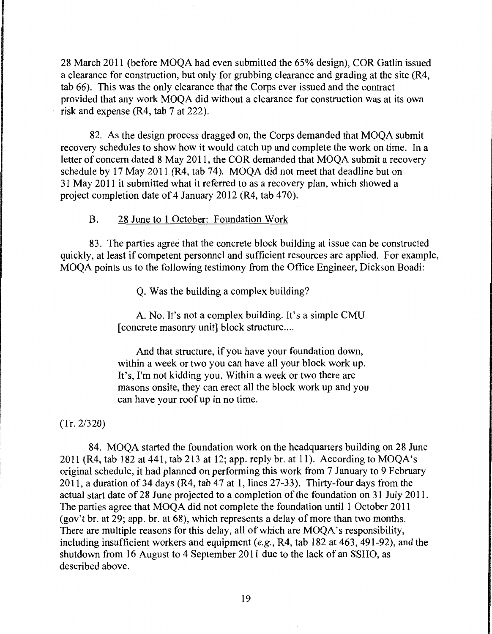28 March 2011 (before MOQA had even submitted the 65% design), COR Gatlin issued a clearance for construction, but only for grubbing clearance and grading at the site (R4, tab 66). This was the only clearance that the Corps ever issued and the contract provided that any work MOQA did without a clearance for construction was at its own risk and expense (R4, tab 7 at 222).

82. As the design process dragged on, the Corps demanded that MOQA submit recovery schedules to show how it would catch up and complete the work on time. In a letter of concern dated 8 May 2011, the COR demanded that MOQA submit a recovery schedule by 17 May 2011 (R4, tab 74). MOQA did not meet that deadline but on 31 May 2011 it submitted what it referred to as a recovery plan, which showed a project completion date of 4 January 2012 (R4, tab 470).

### B. 28 June to 1 October: Foundation Work

83. The parties agree that the concrete block building at issue can be constructed quickly, at least if competent personnel and sufficient resources are applied. For example, MOQA points us to the following testimony from the Office Engineer, Dickson Boadi:

Q. Was the building a complex building?

A. No. It's not a complex building. It's a simple CMU [concrete masonry unit] block structure ....

And that structure, if you have your foundation down, within a week or two you can have all your block work up. It's, I'm not kidding you. Within a week or two there are masons onsite, they can erect all the block work up and you can have your roof up in no time.

(Tr. 2/320)

84. MOQA started the foundation work on the headquarters building on 28 June 2011 (R4, tab 182 at 441, tab 213 at 12; app. reply br. at 11). According to MOQA's original schedule, it had planned on performing this work from 7 January to 9 February 2011, a duration of 34 days (R4, tab 47 at 1, lines 27-33). Thirty-four days from the actual start date of 28 June projected to a completion of the foundation on 31 July 2011. The parties agree that MOQA did not complete the foundation until 1 October 2011 (gov't br. at 29; app. br. at 68), which represents a delay of more than two months. There are multiple reasons for this delay, all of which are MOQA's responsibility, including insufficient workers and equipment *(e.g.,* R4, tab 182 at 463, 491-92), and the shutdown from 16 August to 4 September 2011 due to the lack of an SSHO, as described above.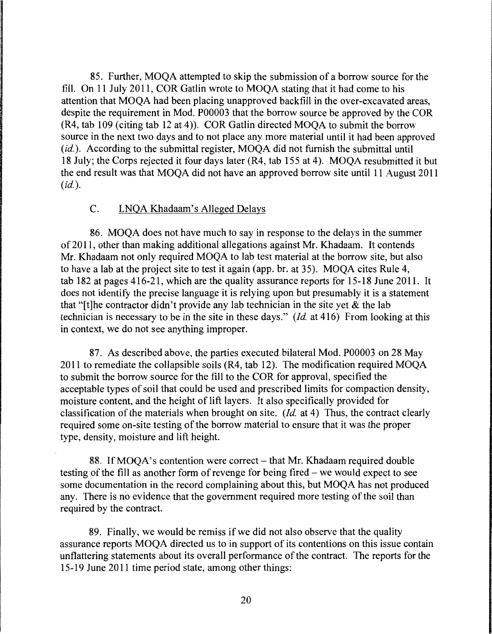85. Further, MOQA attempted to skip the submission of a borrow source for the fill. On 11 July 2011, COR Gatlin wrote to MOQA stating that it had come to his attention that MOQA had been placing unapproved backfill in the over-excavated areas, despite the requirement in Mod. P00003 that the borrow source be approved by the COR (R4, tab 109 (citing tab 12 at 4)). COR Gatlin directed MOQA to submit the borrow source in the next two days and to not place any more material until it had been approved (id.). According to the submittal register, MOQA did not furnish the submittal until 18 July; the Corps rejected it four days later (R4, tab 155 at 4). MOQA resubmitted it but the end result was that MOQA did not have an approved borrow site until 11 August 2011  $(id.$ ).

#### C. LNQA Khadaam's Alleged Delays

86. MOQA does not have much to say in response to the delays in the summer of 2011, other than making additional allegations against Mr. Khadaam. It contends Mr. Khadaam not only required MOQA to lab test material at the borrow site, but also to have a lab at the project site to test it again (app. br. at 35). MOQA cites Rule 4, tab 182 at pages 416-21, which are the quality assurance reports for 15-18 June 2011. It does not identify the precise language it is relying upon but presumably it is a statement that "It the contractor didn't provide any lab technician in the site yet  $\&$  the lab technician is necessary to be in the site in these days." *(Id.* at 416) From looking at this in context, we do not see anything improper.

87. As described above, the parties executed bilateral Mod. P00003 on 28 May 2011 to remediate the collapsible soils (R4, tab 12). The modification required MOQA to submit the borrow source for the fill to the COR for approval, specified the acceptable types of soil that could be used and prescribed limits for compaction density, moisture content, and the height of lift layers. It also specifically provided for classification of the materials when brought on site. *(Id.* at 4) Thus, the contract clearly required some on-site testing of the borrow material to ensure that it was the proper type, density, moisture and lift height.

88. If MOQA's contention were correct – that Mr. Khadaam required double testing of the fill as another form of revenge for being fired – we would expect to see some documentation in the record complaining about this, but MOQA has not produced any. There is no evidence that the government required more testing of the soil than required by the contract.

89. Finally, we would be remiss if we did not also observe that the quality assurance reports MOQA directed us to in support of its contentions on this issue contain unflattering statements about its overall performance of the contract. The reports for the 15-19 June 2011 time period state, among other things: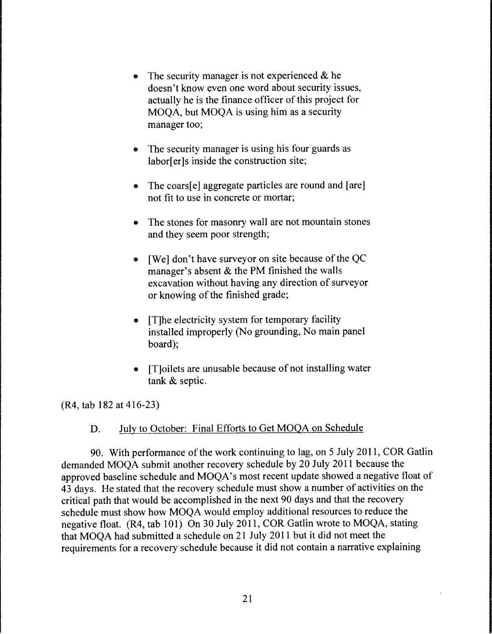- The security manager is not experienced  $\&$  he doesn't know even one word about security issues, actually he is the finance officer of this project for MOQA, but MOQA is using him as a security manager too;
- The security manager is using his four guards as labor[er]s inside the construction site;
- The coars[e] aggregate particles are round and [are] not fit to use in concrete or mortar;
- The stones for masonry wall are not mountain stones and they seem poor strength;
- [We] don't have surveyor on site because of the QC manager's absent & the PM finished the walls excavation without having any direction of surveyor or knowing of the finished grade;
- [T]he electricity system for temporary facility installed improperly (No grounding, No main panel board);
- [T]oilets are unusable because of not installing water tank & septic.

(R4, tab 182 at 416-23)

## D. July to October: Final Efforts to Get MOQA on Schedule

90. With performance of the work continuing to lag, on 5 July 2011, COR Gatlin demanded MOQA submit another recovery schedule by 20 July 2011 because the approved baseline schedule and MOQA's most recent update showed a negative float of 43 days. He stated that the recovery schedule must show a number of activities on the critical path that would be accomplished in the next 90 days and that the recovery schedule must show how MOQA would employ additional resources to reduce the negative float. (R4, tab 101) On 30 July 2011, COR Gatlin wrote to MOQA, stating that MOQA had submitted a schedule on 21 July 2011 but it did not meet the requirements for a recovery schedule because it did not contain a narrative explaining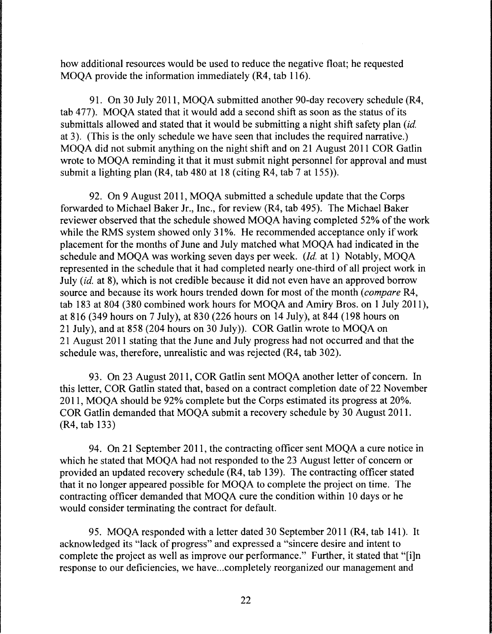how additional resources would be used to reduce the negative float; he requested MOQA provide the information immediately (R4, tab 116).

91. On 30 July 2011, MOQA submitted another 90-day recovery schedule (R4, tab 477). MOOA stated that it would add a second shift as soon as the status of its submittals allowed and stated that it would be submitting a night shift safety plan *(id.*  at 3). (This is the only schedule we have seen that includes the required narrative.) MOQA did not submit anything on the night shift and on 21 August 2011 COR Gatlin wrote to MOQA reminding it that it must submit night personnel for approval and must submit a lighting plan (R4, tab 480 at 18 (citing R4, tab 7 at 155)).

92. On 9 August 2011, MOQA submitted a schedule update that the Corps forwarded to Michael Baker Jr., Inc., for review (R4, tab 495). The Michael Baker reviewer observed that the schedule showed MOQA having completed 52% of the work while the RMS system showed only 31%. He recommended acceptance only if work placement for the months of June and July matched what MOQA had indicated in the schedule and MOQA was working seven days per week. *(Id.* at 1) Notably, MOQA represented in the schedule that it had completed nearly one-third of all project work in July *(id.* at 8), which is not credible because it did not even have an approved borrow source and because its work hours trended down for most of the month *(compare* R4, tab 183 at 804 (380 combined work hours for MOQA and Amiry Bros. on 1 July 2011), at 816 (349 hours on 7 July), at 830 (226 hours on 14 July), at 844 (198 hours on 21 July), and at 858 (204 hours on 30 July)). COR Gatlin wrote to MOQA on 21 August 2011 stating that the June and July progress had not occurred and that the schedule was, therefore, unrealistic and was rejected (R4, tab 302).

93. On 23 August 2011, COR Gatlin sent MOQA another letter of concern. In this letter, COR Gatlin stated that, based on a contract completion date of 22 November 2011, MOQA should be 92% complete but the Corps estimated its progress at 20%. COR Gatlin demanded that MOQA submit a recovery schedule by 30 August 2011. (R4, tab 133)

94. On 21 September 2011, the contracting officer sent MOQA a cure notice in which he stated that MOQA had not responded to the 23 August letter of concern or provided an updated recovery schedule (R4, tab 139). The contracting officer stated that it no longer appeared possible for MOQA to complete the project on time. The contracting officer demanded that MOQA cure the condition within 10 days or he would consider terminating the contract for default.

95. MOQA responded with a letter dated 30 September 2011 (R4, tab 141). It acknowledged its "lack of progress" and expressed a "sincere desire and intent to complete the project as well as improve our performance." Further, it stated that "[i]n response to our deficiencies, we have ... completely reorganized our management and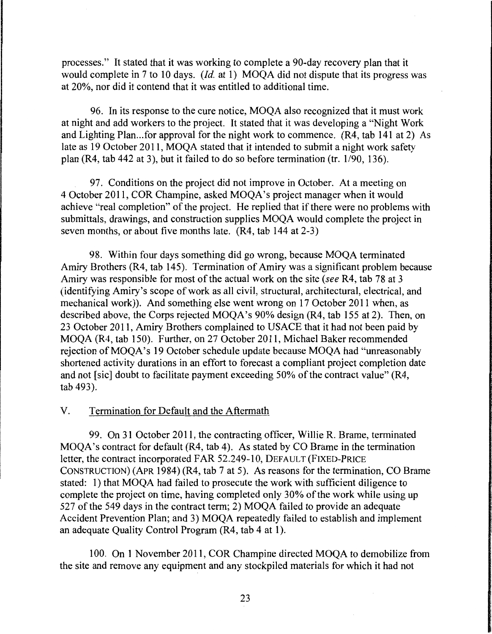processes." It stated that it was working to complete a 90-day recovery plan that it would complete in 7 to 10 days. *(Id.* at 1) MOQA did not dispute that its progress was at 20%, nor did it contend that it was entitled to additional time.

96. In its response to the cure notice, MOQA also recognized that it must work at night and add workers to the project. It stated that it was developing a "Night Work and Lighting Plan... for approval for the night work to commence.  $(R4, tab 141 at 2)$  As late as 19 October 2011, MOQA stated that it intended to submit a night work safety plan (R4, tab 442 at 3), but it failed to do so before termination (tr.  $1/90$ , 136).

97. Conditions on the project did not improve in October. At a meeting on 4 October 2011, COR Champine, asked MOQA's project manager when it would achieve "real completion" of the project. He replied that if there were no problems with submittals, drawings, and construction supplies MOQA would complete the project in seven months, or about five months late. (R4, tab 144 at 2-3)

98. Within four days something did go wrong, because MOQA terminated Amiry Brothers (R4, tab 145). Termination of Amiry was a significant problem because Amiry was responsible for most of the actual work on the site *(see* R4, tab 78 at 3 (identifying Amiry's scope of work as all civil, structural, architectural, electrical, and mechanical work)). And something else went wrong on 17 October 2011 when, as described above, the Corps rejected MOQA's 90% design (R4, tab 155 at 2). Then, on 23 October 2011, Amiry Brothers complained to USACE that it had not been paid by MOQA (R4, tab 150). Further, on 27 October 2011, Michael Baker recommended rejection of MOOA's 19 October schedule update because MOOA had "unreasonably shortened activity durations in an effort to forecast a compliant project completion date and not [sic] doubt to facilitate payment exceeding 50% of the contract value" (R4, tab 493).

## V. Termination for Default and the Aftermath

99. On 31 October 2011, the contracting officer, Willie R. Brame, terminated MOQA's contract for default (R4, tab 4). As stated by CO Brame in the termination letter, the contract incorporated FAR 52.249-10, DEFAULT (FIXED-PRICE CONSTRUCTION) (APR 1984) (R4, tab 7 at 5). As reasons for the termination, CO Brame stated: 1) that MOQA had failed to prosecute the work with sufficient diligence to complete the project on time, having completed only 30% of the work while using up 527 of the 549 days in the contract term; 2) MOQA failed to provide an adequate Accident Prevention Plan; and 3) MOQA repeatedly failed to establish and implement an adequate Quality Control Program (R4, tab 4 at 1 ).

100. On 1 November 2011, COR Champine directed MOQA to demobilize from the site and remove any equipment and any stockpiled materials for which it had not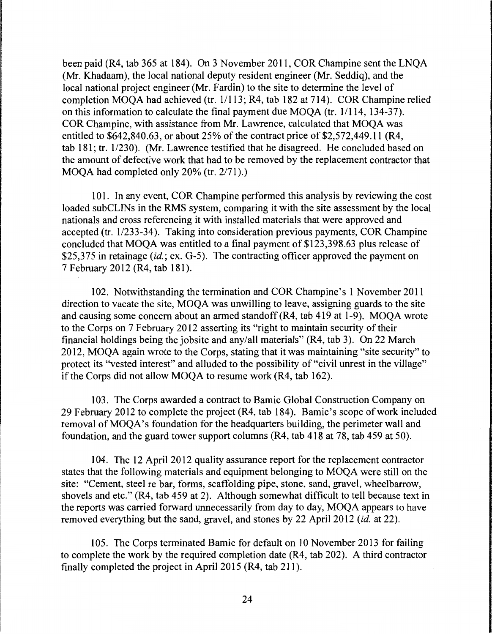been paid (R4, tab 365 at 184). On 3 November 2011, COR Champine sent the LNQA (Mr. Khadaam), the local national deputy resident engineer (Mr. Seddiq), and the local national project engineer (Mr. Fardin) to the site to determine the level of completion MOQA had achieved (tr. 11113; R4, tab 182 at 714). COR Champine relied on this information to calculate the final payment due MOQA (tr. 1/114, 134-37). COR Champine, with assistance from Mr. Lawrence, calculated that MOQA was entitled to \$642,840.63, or about 25% of the contract price of \$2,572,449.11 (R4, tab  $181$ ; tr.  $1/230$ ). (Mr. Lawrence testified that he disagreed. He concluded based on the amount of defective work that had to be removed by the replacement contractor that MOQA had completed only 20% (tr. 2/71).)

101. In any event, COR Champine performed this analysis by reviewing the cost loaded subCLINs in the RMS system, comparing it with the site assessment by the local nationals and cross referencing it with installed materials that were approved and accepted (tr. 1/233-34). Taking into consideration previous payments, COR Champine concluded that MOQA was entitled to a final payment of \$123,398.63 plus release of \$25,375 in retainage *(id.*; ex. G-5). The contracting officer approved the payment on 7 February 2012 (R4, tab 181).

102. Notwithstanding the termination and COR Champine's 1 November 2011 direction to vacate the site, MOQA was unwilling to leave, assigning guards to the site and causing some concern about an armed standoff (R4, tab 419 at 1-9). MOQA wrote to the Corps on 7 February 2012 asserting its "right to maintain security of their financial holdings being the jobsite and any/all materials" (R4, tab 3). On 22 March 2012, MOQA again wrote to the Corps, stating that it was maintaining "site security" to protect its "vested interest" and alluded to the possibility of "civil unrest in the village" if the Corps did not allow MOQA to resume work (R4, tab 162).

103. The Corps awarded a contract to Barnie Global Construction Company on 29 February 2012 to complete the project (R4, tab 184). Barnie's scope of work included removal of MOQA's foundation for the headquarters building, the perimeter wall and foundation, and the guard tower support columns (R4, tab 418 at 78, tab 459 at 50).

104. The 12 April 2012 quality assurance report for the replacement contractor states that the following materials and equipment belonging to MOQA were still on the site: "Cement, steel re bar, forms, scaffolding pipe, stone, sand, gravel, wheelbarrow, shovels and etc." (R4, tab 459 at 2). Although somewhat difficult to tell because text in the reports was carried forward unnecessarily from day to day, MOQA appears to have removed everything but the sand, gravel, and stones by 22 April 2012 *(id.* at 22).

105. The Corps terminated Barnie for default on 10 November 2013 for failing to complete the work by the required completion date (R4, tab 202). A third contractor finally completed the project in April 2015 (R4, tab 211).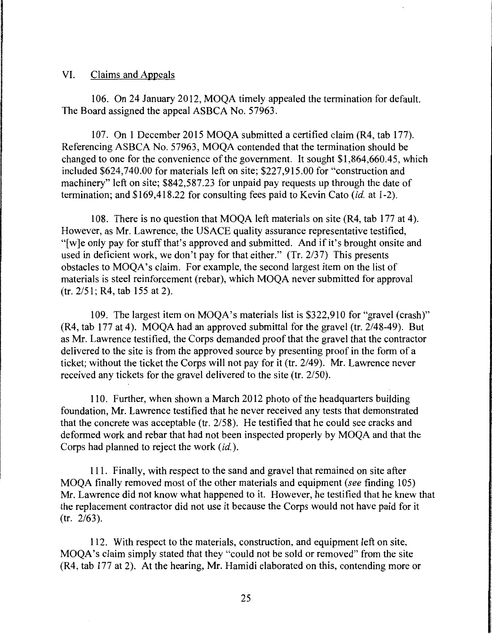#### VI. Claims and Appeals

106. On 24 January 2012, MOQA timely appealed the termination for default. The Board assigned the appeal ASBCA No. 57963.

107. On 1 December 2015 MOQA submitted a certified claim (R4, tab 177). Referencing ASBCA No. 57963, MOQA contended that the termination should be changed to one for the convenience of the government. It sought \$1,864,660.45, which included \$624,740.00 for materials left on site; \$227,915.00 for "construction and machinery" left on site; \$842,587 .23 for unpaid pay requests up through the date of termination; and \$169,418.22 for consulting fees paid to Kevin Cato *(id.* at 1-2).

108. There is no question that MOQA left materials on site (R4, tab 177 at 4). However, as Mr. Lawrence, the USACE quality assurance representative testified, "[ w ]e only pay for stuff that's approved and submitted. And if it's brought onsite and used in deficient work, we don't pay for that either." (Tr. 2/37) This presents obstacles to MOQA's claim. For example, the second largest item on the list of materials is steel reinforcement (rebar), which MOQA never submitted for approval (tr. 2/51; R4, tab 155 at 2).

109. The largest item on MOQA's materials list is \$322,910 for "gravel (crash)" (R4, tab 177 at 4). MOQA had an approved submittal for the gravel (tr. 2/48-49). But as Mr. Lawrence testified, the Corps demanded proof that the gravel that the contractor delivered to the site is from the approved source by presenting proof in the form of a ticket; without the ticket the Corps will not pay for it (tr. 2/49). Mr. Lawrence never received any tickets for the gravel delivered to the site (tr. 2/50).

110. Further, when shown a March 2012 photo of the headquarters building foundation, Mr. Lawrence testified that he never received any tests that demonstrated that the concrete was acceptable (tr. 2/58). He testified that he could see cracks and deformed work and rebar that had not been inspected properly by MOQA and that the Corps had planned to reject the work *(id.).* 

111. Finally, with respect to the sand and gravel that remained on site after MOQA finally removed most of the other materials and equipment *(see* finding 105) Mr. Lawrence did not know what happened to it. However, he testified that he knew that the replacement contractor did not use it because the Corps would not have paid for it (tr. 2/63).

112. With respect to the materials, construction, and equipment left on site, MOQA's claim simply stated that they "could not be sold or removed" from the site (R4, tab 177 at 2). At the hearing, Mr. Hamidi elaborated on this, contending more or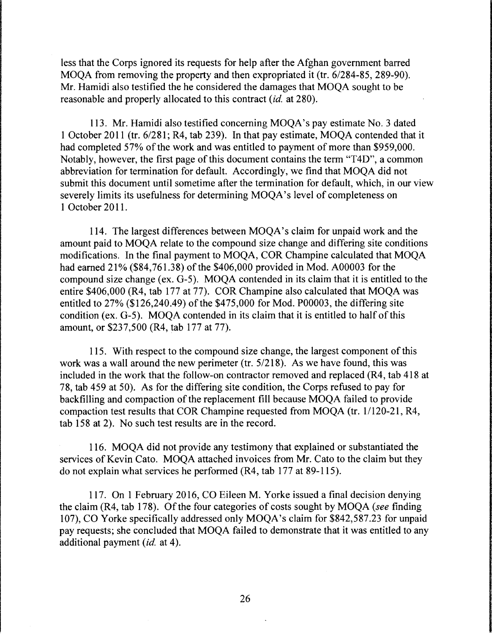less that the Corps ignored its requests for help after the Afghan government barred MOQA from removing the property and then expropriated it (tr. 6/284-85, 289-90). Mr. Hamidi also testified the he considered the damages that MOQA sought to be reasonable and properly allocated to this contract *(id.* at 280).

113. Mr. Hamidi also testified concerning MOQA's pay estimate No. 3 dated 1 October 2011 (tr. 6/281; R4, tab 239). In that pay estimate, MOQA contended that it had completed 57% of the work and was entitled to payment of more than \$959,000. Notably, however, the first page of this document contains the term "T4D", a common abbreviation for termination for default. Accordingly, we find that MOQA did not submit this document until sometime after the termination for default, which, in our view severely limits its usefulness for determining MOQA's level of completeness on 1 October 2011.

114. The largest differences between MOQA's claim for unpaid work and the amount paid to MOQA relate to the compound size change and differing site conditions modifications. In the final payment to MOQA, COR Champine calculated that MOQA had earned 21% (\$84,761.38) of the \$406,000 provided in Mod. A00003 for the compound size change (ex. G-5). MOQA contended in its claim that it is entitled to the entire \$406,000 (R4, tab 177 at 77). COR Champine also calculated that MOQA was entitled to 27% (\$126,240.49) of the \$475,000 for Mod. P00003, the differing site condition (ex. G-5). MOQA contended in its claim that it is entitled to half of this amount, or \$237,500 (R4, tab 177 at 77).

115. With respect to the compound size change, the largest component of this work was a wall around the new perimeter (tr. 5/218). As we have found, this was included in the work that the follow-on contractor removed and replaced (R4, tab 418 at 78, tab 459 at 50). As for the differing site condition, the Corps refused to pay for backfilling and compaction of the replacement fill because MOQA failed to provide compaction test results that COR Champine requested from MOQA (tr. 1/120-21, R4, tab 158 at 2). No such test results are in the record.

116. MOQA did not provide any testimony that explained or substantiated the services of Kevin Cato. MOQA attached invoices from Mr. Cato to the claim but they do not explain what services he performed (R4, tab 177 at 89-115).

117. On 1February2016, CO Eileen M. Yorke issued a final decision denying the claim (R4, tab 178). Of the four categories of costs sought by MOQA *(see* finding 107), CO Yorke specifically addressed only MOQA's claim for \$842,587.23 for unpaid pay requests; she concluded that MOQA failed to demonstrate that it was entitled to any additional payment *(id.* at 4).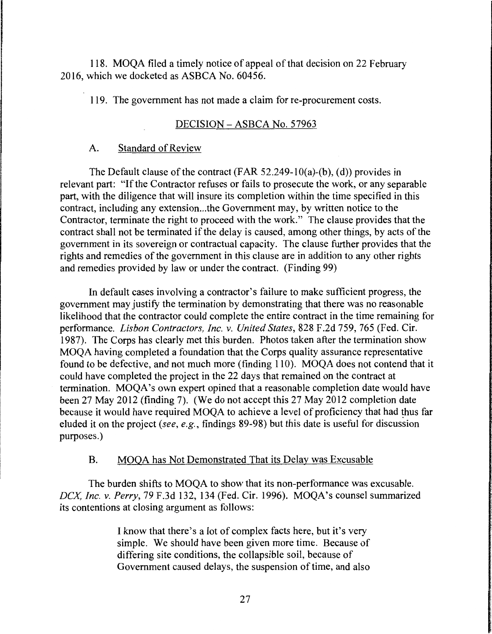118. MOQA filed a timely notice of appeal of that decision on 22 February 2016, which we docketed as ASBCA No. 60456.

119. The government has not made a claim for re-procurement costs.

## DECISION - ASBCA No. 57963

## A. Standard of Review

The Default clause of the contract (FAR 52.249-10(a)-(b), (d)) provides in relevant part: "If the Contractor refuses or fails to prosecute the work, or any separable part, with the diligence that will insure its completion within the time specified in this contract, including any extension...the Government may, by written notice to the Contractor, terminate the right to proceed with the work." The clause provides that the contract shall not be terminated if the delay is caused, among other things, by acts of the government in its sovereign or contractual capacity. The clause further provides that the rights and remedies of the government in this clause are in addition to any other rights and remedies provided by law or under the contract. (Finding 99)

In default cases involving a contractor's failure to make sufficient progress, the government may justify the termination by demonstrating that there was no reasonable likelihood that the contractor could complete the entire contract in the time remaining for performance. *Lisbon Contractors, Inc. v. United States,* 828 F.2d 759, 765 (Fed. Cir. 1987). The Corps has clearly met this burden. Photos taken after the termination show MOQA having completed a foundation that the Corps quality assurance representative found to be defective, and not much more (finding 110). MOQA does not contend that it could have completed the project in the 22 days that remained on the contract at termination. MOQA's own expert opined that a reasonable completion date would have been 27 May 2012 (finding 7). (We do not accept this 27 May 2012 completion date because it would have required MOQA to achieve a level of proficiency that had thus far eluded it on the project *(see, e.g.,* findings 89-98) but this date is useful for discussion purposes.)

# B. MOQA has Not Demonstrated That its Delay was Excusable

The burden shifts to MOQA to show that its non-performance was excusable. *DCX, Inc. v. Perry,* 79 F.3d 132, 134 (Fed. Cir. 1996). MOQA's counsel summarized its contentions at closing argument as follows:

> I know that there's a lot of complex facts here, but it's very simple. We should have been given more time. Because of differing site conditions, the collapsible soil, because of Government caused delays, the suspension of time, and also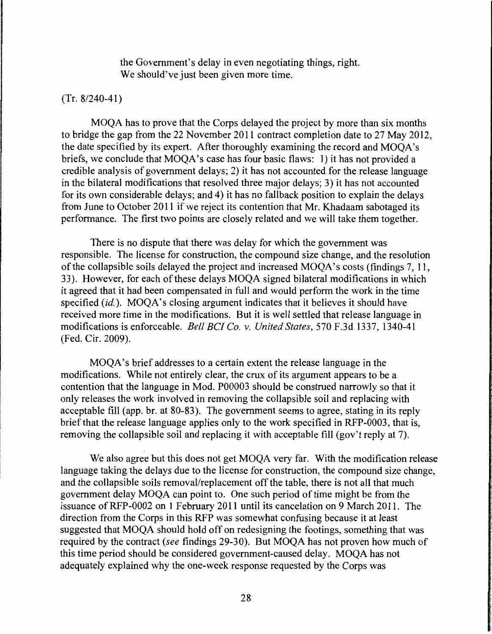the Government's delay in even negotiating things, right. We should've just been given more time.

### (Tr. 8/240-41)

MOQA has to prove that the Corps delayed the project by more than six months to bridge the gap from the 22 November 2011 contract completion date to 27 May 2012, the date specified by its expert. After thoroughly examining the record and MOQA's briefs, we conclude that MOQA's case has four basic flaws: 1) it has not provided a credible analysis of government delays; 2) it has not accounted for the release language in the bilateral modifications that resolved three major delays; 3) it has not accounted for its own considerable delays; and 4) it has no fallback position to explain the delays from June to October 2011 if we reject its contention that Mr. Khadaam sabotaged its performance. The first two points are closely related and we will take them together.

There is no dispute that there was delay for which the government was responsible. The license for construction, the compound size change, and the resolution of the collapsible soils delayed the project and increased MOQA's costs (findings 7, 11, 33). However, for each of these delays MOQA signed bilateral modifications in which it agreed that it had been compensated in full and would perform the work in the time specified *(id.).* MOQA's closing argument indicates that it believes it should have received more time in the modifications. But it is well settled that release language in modifications is enforceable. *Bell BC! Co. v. United States,* 570 F.3d 1337, 1340-41 (Fed. Cir. 2009).

MOQA's brief addresses to a certain extent the release language in the modifications. While not entirely clear, the crux of its argument appears to be a contention that the language in Mod. P00003 should be construed narrowly so that it only releases the work involved in removing the collapsible soil and replacing with acceptable fill (app. hr. at 80-83). The government seems to agree, stating in its reply brief that the release language applies only to the work specified in RFP-0003, that is, removing the collapsible soil and replacing it with acceptable fill (gov't reply at 7).

We also agree but this does not get MOQA very far. With the modification release language taking the delays due to the license for construction, the compound size change, and the collapsible soils removal/replacement off the table, there is not all that much government delay MOQA can point to. One such period of time might be from the issuance ofRFP-0002 on 1 February 2011 until its cancelation on 9 March 2011. The direction from the Corps in this RFP was somewhat confusing because it at least suggested that MOQA should hold off on redesigning the footings, something that was required by the contract *(see* findings 29-30). But MOQA has not proven how much of this time period should be considered government-caused delay. MOQA has not adequately explained why the one-week response requested by the Corps was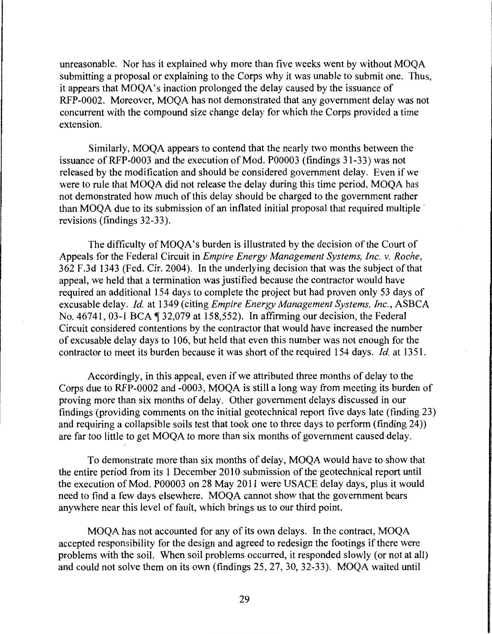unreasonable. Nor has it explained why more than five weeks went by without MOQA submitting a proposal or explaining to the Corps why it was unable to submit one. Thus, it appears that MOQA's inaction prolonged the delay caused by the issuance of RFP-0002. Moreover, MOQA has not demonstrated that any government delay was not concurrent with the compound size change delay for which the Corps provided a time extension.

Similarly, MOQA appears to contend that the nearly two months between the issuance of RFP-0003 and the execution of Mod. P00003 (findings 31-33) was not released by the modification and should be considered government delay. Even if we were to rule that MOQA did not release the delay during this time period, MOQA has not demonstrated how much of this delay should be charged to the government rather than MOQA due to its submission of an inflated initial proposal that required multiple · revisions (findings 32-33).

The difficulty of MOQA's burden is illustrated by the decision of the Court of Appeals for the Federal Circuit in *Empire Energy Management Systems, Inc. v. Roche,*  362 F.3d 1343 (Fed. Cir. 2004). In the underlying decision that was the subject of that appeal, we held that a termination was justified because the contractor would have required an additional 154 days to complete the project but had proven only 53 days of excusable delay. *Id.* at 1349 (citing *Empire Energy Management Systems, Inc.,* ASBCA No.  $46741$ , 03-1 BCA  $\P$  32,079 at 158,552). In affirming our decision, the Federal Circuit considered contentions by the contractor that would have increased the number of excusable delay days to 106, but held that even this number was not enough for the contractor to meet its burden because it was short of the required 154 days. *Id.* at 1351.

Accordingly, in this appeal, even if we attributed three months of delay to the Corps due to RFP-0002 and -0003, MOQA is still a long way from meeting its burden of proving more than six months of delay. Other government delays discussed in our findings (providing comments on the initial geotechnical report five days late (finding 23) and requiring a collapsible soils test that took one to three days to perform (finding 24)) are far too little to get MOQA to more than six months of government caused delay.

To demonstrate more than six months of delay, MOQA would have to show that the entire period from its 1 December 2010 submission of the geotechnical report until the execution of Mod. P00003 on 28 May 2011 were USACE delay days, plus it would need to find a few days elsewhere. MOQA cannot show that the government bears anywhere near this level of fault, which brings us to our third point.

MOQA has not accounted for any of its own delays. In the contract, MOQA accepted responsibility for the design and agreed to redesign the footings if there were problems with the soil. When soil problems occurred, it responded slowly (or not at all) and could not solve them on its own (findings 25, 27, 30, 32-33). MOQA waited until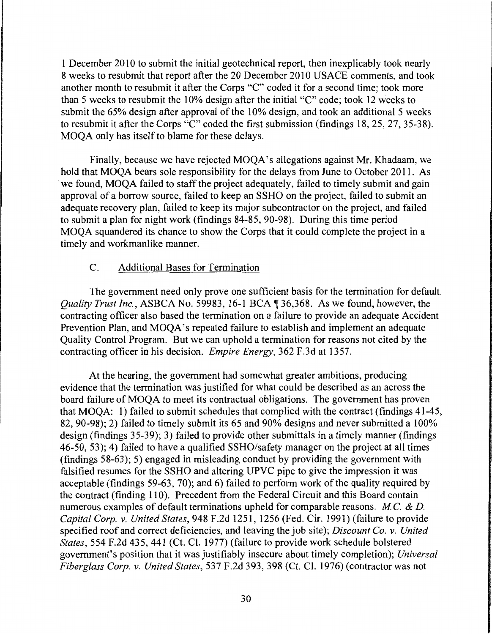1 December 2010 to submit the initial geotechnical report, then inexplicably took nearly 8 weeks to resubmit that report after the 20 December 2010 USACE comments, and took another month to resubmit it after the Corps "C" coded it for a second time; took more than 5 weeks to resubmit the 10% design after the initial "C" code; took 12 weeks to submit the 65% design after approval of the 10% design, and took an additional 5 weeks to resubmit it after the Corps "C" coded the first submission (findings 18, 25, 27, 35-38). MOQA only has itself to blame for these delays.

Finally, because we have rejected MOQA's allegations against Mr. Khadaam, we hold that MOQA bears sole responsibility for the delays from June to October 2011. As ·we found, MOQA failed to staff the project adequately, failed to timely submit and gain approval of a borrow source, failed to keep an SSHO on the project, failed to submit an adequate recovery plan, failed to keep its major subcontractor on the project, and failed to submit a plan for night work (findings 84-85, 90-98). During this time period MOQA squandered its chance to show the Corps that it could complete the project in a timely and workmanlike manner.

### C. Additional Bases for Termination

The government need only prove one sufficient basis for the termination for default. *Quality Trust Inc., ASBCA No.* 59983, 16-1 BCA 1 36,368. As we found, however, the contracting officer also based the termination on a failure to provide an adequate Accident Prevention Plan, and MOQA's repeated failure to establish and implement an adequate Quality Control Program. But we can uphold a termination for reasons not cited by the contracting officer in his decision. *Empire Energy,* 362 F.3d at 1357.

At the hearing, the government had somewhat greater ambitions, producing evidence that the termination was justified for what could be described as an across the board failure of MOQA to meet its contractual obligations. The government has proven that MOQA: 1) failed to submit schedules that complied with the contract (findings 41-45, 82, 90-98); 2) failed to timely submit its 65 and 90% designs and never submitted a 100% design (findings 35-39); 3) failed to provide other submittals in a timely manner (findings 46-50, 53); 4) failed to have a qualified SSHO/safety manager on the project at all times (findings 58-63); 5) engaged in misleading conduct by providing the government with falsified resumes for the SSHO and altering UPVC pipe to give the impression it was acceptable (findings 59-63, 70); and 6) failed to perform work of the quality required by the contract (finding 110). Precedent from the Federal Circuit and this Board contain numerous examples of default terminations upheld for comparable reasons. *MC.* & *D. Capital Corp. v. United States,* 948 F .2d 1251, 1256 (Fed. Cir. 1991) (failure to provide specified roof and correct deficiencies, and leaving the job site); *Discount Co. v. United States,* 554 F.2d 435, 441 (Ct. Cl. 1977) (failure to provide work schedule bolstered government's position that it was justifiably insecure about timely completion); *Universal Fiberglass Corp. v. United States,* 537 F.2d 393, 398 (Ct. Cl. 1976) (contractor was not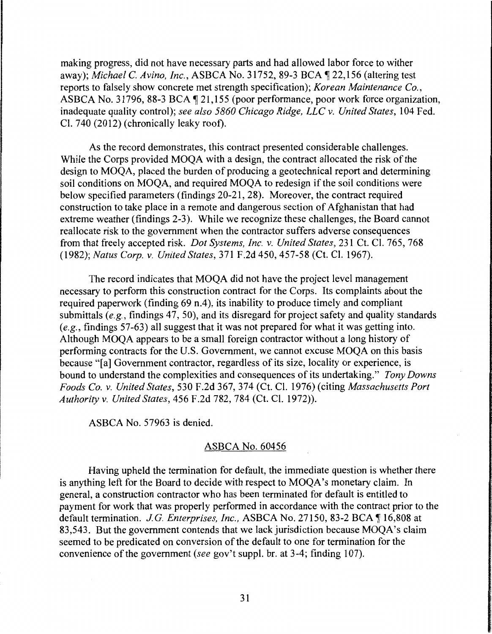making progress, did not have necessary parts and had allowed labor force to wither away); *Michael C. Avino, Inc.*, ASBCA No. 31752, 89-3 BCA ¶ 22,156 (altering test reports to falsely show concrete met strength specification); *Korean Maintenance Co.,*  ASBCA No. 31796, 88-3 BCA | 21,155 (poor performance, poor work force organization, inadequate quality control); *see also 5860 Chicago Ridge, LLC v. United States,* 104 Fed. Cl. 740 (2012) (chronically leaky roof).

As the record demonstrates, this contract presented considerable challenges. While the Corps provided MOQA with a design, the contract allocated the risk of the design to MOQA, placed the burden of producing a geotechnical report and determining soil conditions on MOQA, and required MOQA to redesign if the soil conditions were below specified parameters (findings 20-21, 28). Moreover, the contract required construction to take place in a remote and dangerous section of Afghanistan that had extreme weather (findings 2-3). While we recognize these challenges, the Board cannot reallocate risk to the government when the contractor suffers adverse consequences from that freely accepted risk. *Dot Systems, Inc. v. United States,* 231 Ct. Cl. 765, 768 (1982); *Natus Corp. v. United States,* 371F.2d450, 457-58 (Ct. Cl. 1967).

The record indicates that MOQA did not have the project level management necessary to perform this construction contract for the Corps. Its complaints about the required paperwork (finding 69 n.4), its inability to produce timely and compliant submittals (e.g., findings 47, 50), and its disregard for project safety and quality standards *(e.g.,* findings 57-63) all suggest that it was not prepared for what it was getting into. Although MOQA appears to be a small foreign contractor without a long history of performing contracts for the U.S. Government, we cannot excuse MOQA on this basis because "[a] Government contractor, regardless of its size, locality or experience, is bound to understand the complexities and consequences of its undertaking." *Tony Downs Foods Co. v. United States,* 530 F.2d 367, 374 (Ct. Cl. 1976) (citing *Massachusetts Port Authority v. United States,* 456 F .2d 782, 784 (Ct. Cl. 1972)).

ASBCA No. 57963 is denied.

### ASBCA No. 60456

Having upheld the termination for default, the immediate question is whether there is anything left for the Board to decide with respect to MOQA's monetary claim. In general, a construction contractor who has been terminated for default is entitled to payment for work that was properly performed in accordance with the contract prior to the default termination. *J.G. Enterprises, Inc., ASBCA No.* 27150, 83-2 BCA 16,808 at 83,543. But the government contends that we lack jurisdiction because MOQA's claim seemed to be predicated on conversion of the default to one for termination for the convenience of the government *(see* gov't suppl. br. at 3-4; finding 107).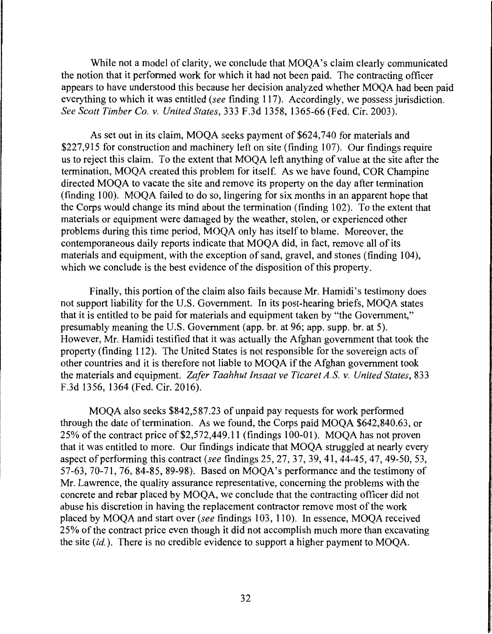While not a model of clarity, we conclude that MOQA's claim clearly communicated the notion that it performed work for which it had not been paid. The contracting officer appears to have understood this because her decision analyzed whether MOQA had been paid everything to which it was entitled *(see* finding 117). Accordingly, we possess jurisdiction. *See Scott Timber Co. v. United States,* 333 F.3d 1358, 1365-66 (Fed. Cir. 2003).

As set out in its claim, MOQA seeks payment of \$624,740 for materials and \$227,915 for construction and machinery left on site (finding 107). Our findings require us to reject this claim. To the extent that MOQA left anything of value at the site after the termination, MOQA created this problem for itself. As we have found, COR Champine directed MOQA to vacate the site and remove its property on the day after termination (finding 100). MOQA failed to do so, lingering for six months in an apparent hope that the Corps would change its mind about the termination (finding 102). To the extent that materials or equipment were damaged by the weather, stolen, or experienced other problems during this time period, MOQA only has itself to blame. Moreover, the contemporaneous daily reports indicate that MOQA did, in fact, remove all of its materials and equipment, with the exception of sand, gravel, and stones (finding 104), which we conclude is the best evidence of the disposition of this property.

Finally, this portion of the claim also fails because Mr. Hamidi's testimony does not support liability for the U.S. Government. In its post-hearing briefs, MOQA states that it is entitled to be paid for materials and equipment taken by "the Government," presumably meaning the U.S. Government (app. br. at 96; app. supp. br. at 5). However, Mr. Hamidi testified that it was actually the Afghan government that took the property (finding 112). The United States is not responsible for the sovereign acts of other countries and it is therefore not liable to MOQA if the Afghan government took the materials and equipment. *Zafer Taahhut Insaat ve Ticaret A.S. v. United States,* 833 F.3d 1356, 1364 (Fed. Cir. 2016).

MOQA also seeks \$842,587.23 of unpaid pay requests for work performed through the date of termination. As we found, the Corps paid MOQA \$642,840.63, or 25% of the contract price of \$2,572,449.11(findings100-01). MOQA has not proven that it was entitled to more. Our findings indicate that MOQA struggled at nearly every aspect of performing this contract *(see* findings 25, 27, 37, 39, 41, 44-45, 47, 49-50, 53, 57-63, 70-71, 76, 84-85, 89-98). Based on MOQA's performance and the testimony of Mr. Lawrence, the quality assurance representative, concerning the problems with the concrete and rebar placed by MOQA, we conclude that the contracting officer did not abuse his discretion in having the replacement contractor remove most of the work placed by MOQA and start over *(see* findings 103, 110). In essence, MOQA received 25% of the contract price even though it did not accomplish much more than excavating the site *(id.).* There is no credible evidence to support a higher payment to MOQA.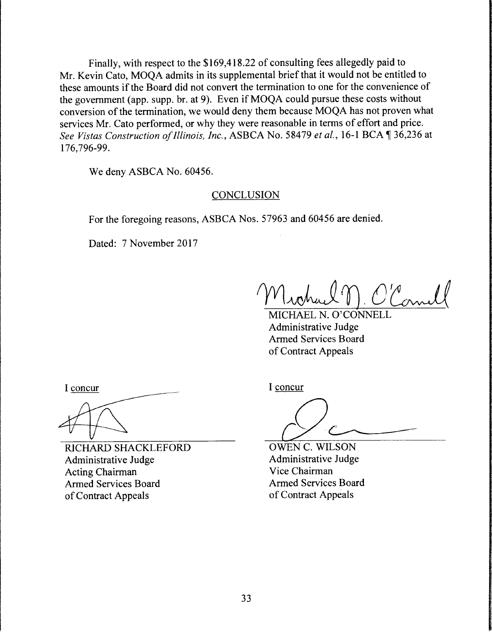Finally, with respect to the \$169,418.22 of consulting fees allegedly paid to Mr. Kevin Cato, MOQA admits in its supplemental brief that it would not be entitled to these amounts if the Board did not convert the termination to one for the convenience of the government (app. supp. br. at 9). Even if MOQA could pursue these costs without conversion of the termination, we would deny them because MOQA has not proven what services Mr. Cato performed, or why they were reasonable in terms of effort and price. *See Vistas Construction of Illinois, Inc., ASBCA No. 58479 <i>et al., 16-1 BCA*, 136,236 at 176, 796-99.

We deny ASBCA No. 60456.

## **CONCLUSION**

For the foregoing reasons, ASBCA Nos. 57963 and 60456 are denied.

Dated: 7 November 2017

Michael M. O'Comell

MICHAEL N. O'CONNELL Administrative Judge Armed Services Board of Contract Appeals

I concur

RICHARD SHACKLEFORD Administrative Judge Acting Chairman Armed Services Board of Contract Appeals

I concur

OWEN C. WILSON Administrative Judge Vice Chairman Armed Services Board of Contract Appeals